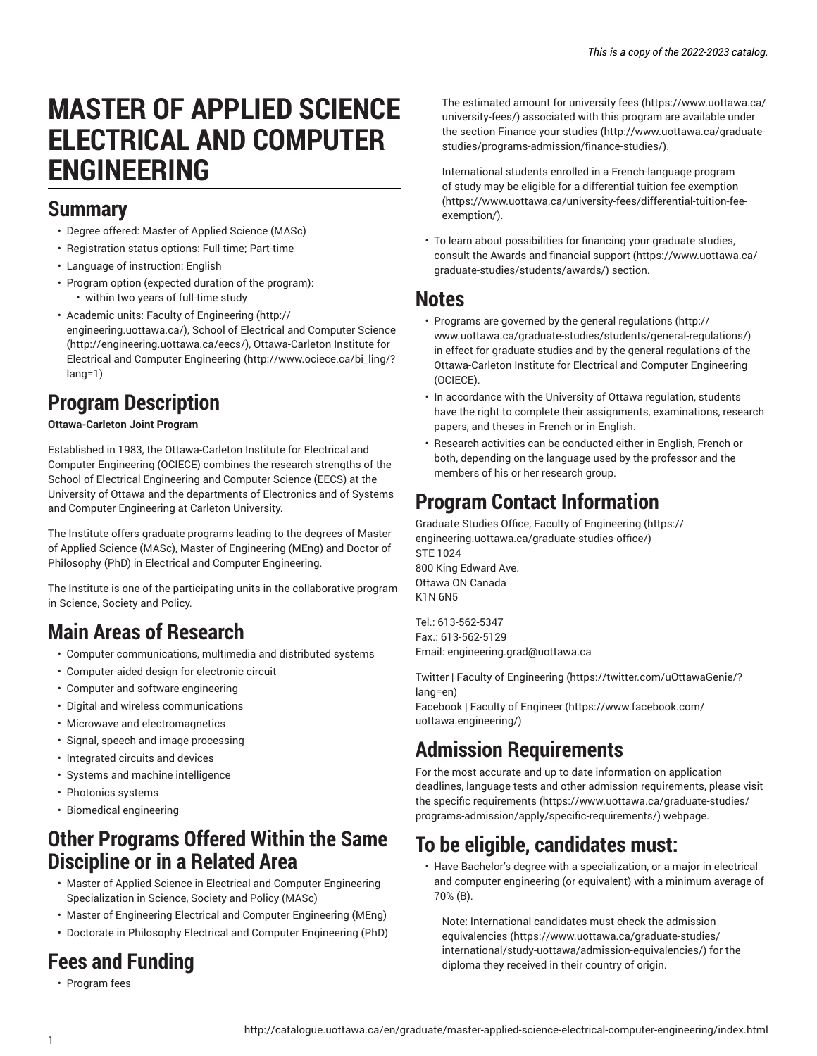# **MASTER OF APPLIED SCIENCE ELECTRICAL AND COMPUTER ENGINEERING**

### **Summary**

- Degree offered: Master of Applied Science (MASc)
- Registration status options: Full-time; Part-time
- Language of instruction: English
- Program option (expected duration of the program): • within two years of full-time study
- Academic units: Faculty of [Engineering](http://engineering.uottawa.ca/) ([http://](http://engineering.uottawa.ca/) [engineering.uottawa.ca/\)](http://engineering.uottawa.ca/), [School of Electrical and Computer Science](http://engineering.uottawa.ca/eecs/) ([http://engineering.uottawa.ca/eecs/\)](http://engineering.uottawa.ca/eecs/), [Ottawa-Carleton Institute for](http://www.ociece.ca/bi_ling/?lang=1) [Electrical and Computer Engineering \(http://www.ociece.ca/bi\\_ling/?](http://www.ociece.ca/bi_ling/?lang=1) [lang=1](http://www.ociece.ca/bi_ling/?lang=1))

# **Program Description**

### **Ottawa-Carleton Joint Program**

Established in 1983, the Ottawa-Carleton Institute for Electrical and Computer Engineering (OCIECE) combines the research strengths of the School of Electrical Engineering and Computer Science (EECS) at the University of Ottawa and the departments of Electronics and of Systems and Computer Engineering at Carleton University.

The Institute offers graduate programs leading to the degrees of Master of Applied Science (MASc), Master of Engineering (MEng) and Doctor of Philosophy (PhD) in Electrical and Computer Engineering.

The Institute is one of the participating units in the collaborative program in Science, Society and Policy.

# **Main Areas of Research**

- Computer communications, multimedia and distributed systems
- Computer-aided design for electronic circuit
- Computer and software engineering
- Digital and wireless communications
- Microwave and electromagnetics
- Signal, speech and image processing
- Integrated circuits and devices
- Systems and machine intelligence
- Photonics systems
- Biomedical engineering

### **Other Programs Offered Within the Same Discipline or in a Related Area**

- Master of Applied Science in Electrical and Computer Engineering Specialization in Science, Society and Policy (MASc)
- Master of Engineering Electrical and Computer Engineering (MEng)
- Doctorate in Philosophy Electrical and Computer Engineering (PhD)

# **Fees and Funding**

• Program fees

The estimated amount for [university](https://www.uottawa.ca/university-fees/) fees ([https://www.uottawa.ca/](https://www.uottawa.ca/university-fees/) [university-fees/](https://www.uottawa.ca/university-fees/)) associated with this program are available under the section [Finance](http://www.uottawa.ca/graduate-studies/programs-admission/finance-studies/) your studies ([http://www.uottawa.ca/graduate](http://www.uottawa.ca/graduate-studies/programs-admission/finance-studies/)[studies/programs-admission/finance-studies/\)](http://www.uottawa.ca/graduate-studies/programs-admission/finance-studies/).

International students enrolled in a French-language program of study may be eligible for a [differential](https://www.uottawa.ca/university-fees/differential-tuition-fee-exemption/) tuition fee exemption [\(https://www.uottawa.ca/university-fees/differential-tuition-fee](https://www.uottawa.ca/university-fees/differential-tuition-fee-exemption/)[exemption/\)](https://www.uottawa.ca/university-fees/differential-tuition-fee-exemption/).

• To learn about possibilities for financing your graduate studies, consult the Awards and [financial](https://www.uottawa.ca/graduate-studies/students/awards/) support [\(https://www.uottawa.ca/](https://www.uottawa.ca/graduate-studies/students/awards/) [graduate-studies/students/awards/](https://www.uottawa.ca/graduate-studies/students/awards/)) section.

### **Notes**

- Programs are governed by the general [regulations](http://www.uottawa.ca/graduate-studies/students/general-regulations/) ([http://](http://www.uottawa.ca/graduate-studies/students/general-regulations/) [www.uottawa.ca/graduate-studies/students/general-regulations/](http://www.uottawa.ca/graduate-studies/students/general-regulations/)) in effect for graduate studies and by the general regulations of the Ottawa-Carleton Institute for Electrical and Computer Engineering (OCIECE).
- In accordance with the University of Ottawa regulation, students have the right to complete their assignments, examinations, research papers, and theses in French or in English.
- Research activities can be conducted either in English, French or both, depending on the language used by the professor and the members of his or her research group.

# **Program Contact Information**

Graduate Studies Office, Faculty of [Engineering \(https://](https://engineering.uottawa.ca/graduate-studies-office/) [engineering.uottawa.ca/graduate-studies-office/\)](https://engineering.uottawa.ca/graduate-studies-office/) STE 1024 800 King Edward Ave. Ottawa ON Canada K1N 6N5

Tel.: 613-562-5347 Fax.: 613-562-5129 Email: [engineering.grad@uottawa.ca](mailto:engineering.grad@uottawa.ca)

Twitter | Faculty of [Engineering \(https://twitter.com/uOttawaGenie/?](https://twitter.com/uOttawaGenie/?lang=en) [lang=en](https://twitter.com/uOttawaGenie/?lang=en)) [Facebook](https://www.facebook.com/uottawa.engineering/) | Faculty of Engineer [\(https://www.facebook.com/](https://www.facebook.com/uottawa.engineering/)

[uottawa.engineering/](https://www.facebook.com/uottawa.engineering/))

# **Admission Requirements**

For the most accurate and up to date information on application deadlines, language tests and other admission requirements, please visit the specific [requirements](https://www.uottawa.ca/graduate-studies/programs-admission/apply/specific-requirements/) ([https://www.uottawa.ca/graduate-studies/](https://www.uottawa.ca/graduate-studies/programs-admission/apply/specific-requirements/) [programs-admission/apply/specific-requirements/\)](https://www.uottawa.ca/graduate-studies/programs-admission/apply/specific-requirements/) webpage.

# **To be eligible, candidates must:**

• Have Bachelor's degree with a specialization, or a major in electrical and computer engineering (or equivalent) with a minimum average of 70% (B).

Note: International candidates must check the [admission](https://www.uottawa.ca/graduate-studies/international/study-uottawa/admission-equivalencies/) [equivalencies](https://www.uottawa.ca/graduate-studies/international/study-uottawa/admission-equivalencies/) [\(https://www.uottawa.ca/graduate-studies/](https://www.uottawa.ca/graduate-studies/international/study-uottawa/admission-equivalencies/) [international/study-uottawa/admission-equivalencies/](https://www.uottawa.ca/graduate-studies/international/study-uottawa/admission-equivalencies/)) for the diploma they received in their country of origin.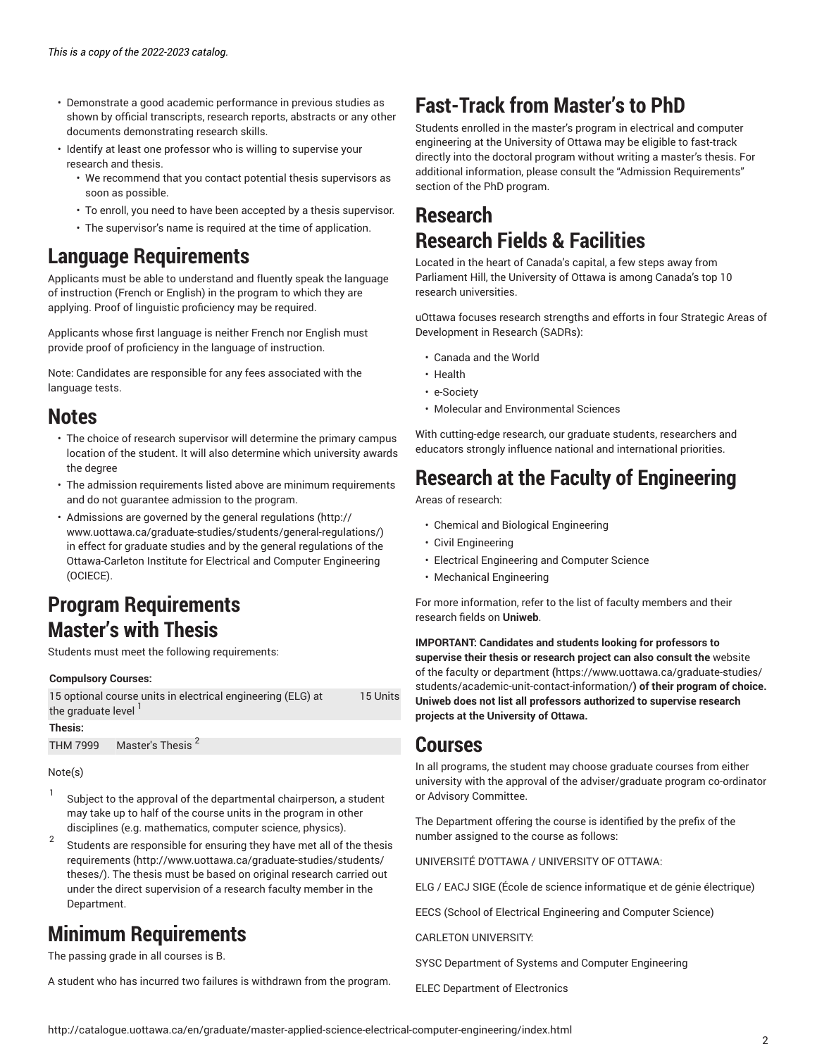- Demonstrate a good academic performance in previous studies as shown by official transcripts, research reports, abstracts or any other documents demonstrating research skills.
- Identify at least one professor who is willing to supervise your research and thesis.
	- We recommend that you contact potential thesis supervisors as soon as possible.
	- To enroll, you need to have been accepted by a thesis supervisor.
	- The supervisor's name is required at the time of application.

### **Language Requirements**

Applicants must be able to understand and fluently speak the language of instruction (French or English) in the program to which they are applying. Proof of linguistic proficiency may be required.

Applicants whose first language is neither French nor English must provide proof of proficiency in the language of instruction.

Note: Candidates are responsible for any fees associated with the language tests.

### **Notes**

- The choice of research supervisor will determine the primary campus location of the student. It will also determine which university awards the degree
- The admission requirements listed above are minimum requirements and do not guarantee admission to the program.
- Admissions are governed by the general [regulations](http://www.uottawa.ca/graduate-studies/students/general-regulations/) ([http://](http://www.uottawa.ca/graduate-studies/students/general-regulations/) [www.uottawa.ca/graduate-studies/students/general-regulations/](http://www.uottawa.ca/graduate-studies/students/general-regulations/)) in effect for graduate studies and by the general regulations of the Ottawa-Carleton Institute for Electrical and Computer Engineering (OCIECE).

### **Program Requirements Master's with Thesis**

Students must meet the following requirements:

#### **Compulsory Courses:**

| 15 optional course units in electrical engineering (ELG) at | 15 Units |
|-------------------------------------------------------------|----------|
| the graduate level <sup>1</sup>                             |          |
| Thesis:                                                     |          |

THM 7999  $\,$  Master's Thesis  $^2$ 

#### Note(s)

- 1 Subject to the approval of the departmental chairperson, a student may take up to half of the course units in the program in other disciplines (e.g. mathematics, computer science, physics).
- 2 Students are responsible for ensuring they have met all of the [thesis](http://www.uottawa.ca/graduate-studies/students/theses/) [requirements \(http://www.uottawa.ca/graduate-studies/students/](http://www.uottawa.ca/graduate-studies/students/theses/) [theses/\)](http://www.uottawa.ca/graduate-studies/students/theses/). The thesis must be based on original research carried out under the direct supervision of a research faculty member in the Department.

# **Minimum Requirements**

The passing grade in all courses is B.

A student who has incurred two failures is withdrawn from the program.

# **Fast-Track from Master's to PhD**

Students enrolled in the master's program in electrical and computer engineering at the University of Ottawa may be eligible to fast-track directly into the doctoral program without writing a master's thesis. For additional information, please consult the "Admission Requirements" section of the PhD program.

### **Research Research Fields & Facilities**

Located in the heart of Canada's capital, a few steps away from Parliament Hill, the University of Ottawa is among Canada's top 10 research universities.

uOttawa focuses research strengths and efforts in four Strategic Areas of Development in Research (SADRs):

- Canada and the World
- Health
- e-Society
- Molecular and Environmental Sciences

With cutting-edge research, our graduate students, researchers and educators strongly influence national and international priorities.

### **Research at the Faculty of Engineering**

Areas of research:

- Chemical and Biological Engineering
- Civil Engineering
- Electrical Engineering and Computer Science
- Mechanical Engineering

For more information, refer to the list of faculty members and their research fields on **Uniweb**.

**IMPORTANT: Candidates and students looking for professors to supervise their thesis or research project can also consult the** [website](https://www.uottawa.ca/graduate-studies/students/academic-unit-contact-information/) of the faculty or [department](https://www.uottawa.ca/graduate-studies/students/academic-unit-contact-information/) **(**[https://www.uottawa.ca/graduate-studies/](https://www.uottawa.ca/graduate-studies/students/academic-unit-contact-information/) [students/academic-unit-contact-information/](https://www.uottawa.ca/graduate-studies/students/academic-unit-contact-information/)**) of their program of choice. Uniweb does not list all professors authorized to supervise research projects at the University of Ottawa.**

### **Courses**

In all programs, the student may choose graduate courses from either university with the approval of the adviser/graduate program co-ordinator or Advisory Committee.

The Department offering the course is identified by the prefix of the number assigned to the course as follows:

UNIVERSITÉ D'OTTAWA / UNIVERSITY OF OTTAWA:

ELG / EACJ SIGE (École de science informatique et de génie électrique)

EECS (School of Electrical Engineering and Computer Science)

CARLETON UNIVERSITY:

SYSC Department of Systems and Computer Engineering

ELEC Department of Electronics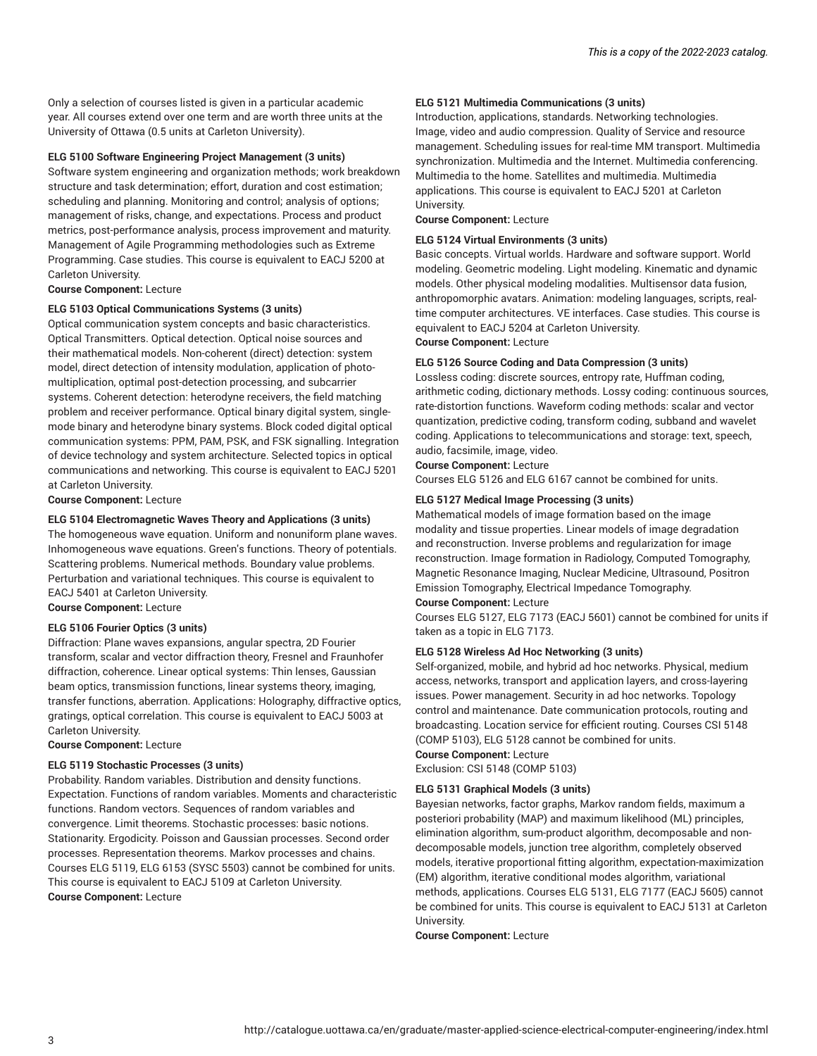Only a selection of courses listed is given in a particular academic year. All courses extend over one term and are worth three units at the University of Ottawa (0.5 units at Carleton University).

#### **ELG 5100 Software Engineering Project Management (3 units)**

Software system engineering and organization methods; work breakdown structure and task determination; effort, duration and cost estimation; scheduling and planning. Monitoring and control; analysis of options; management of risks, change, and expectations. Process and product metrics, post-performance analysis, process improvement and maturity. Management of Agile Programming methodologies such as Extreme Programming. Case studies. This course is equivalent to EACJ 5200 at Carleton University.

**Course Component:** Lecture

#### **ELG 5103 Optical Communications Systems (3 units)**

Optical communication system concepts and basic characteristics. Optical Transmitters. Optical detection. Optical noise sources and their mathematical models. Non-coherent (direct) detection: system model, direct detection of intensity modulation, application of photomultiplication, optimal post-detection processing, and subcarrier systems. Coherent detection: heterodyne receivers, the field matching problem and receiver performance. Optical binary digital system, singlemode binary and heterodyne binary systems. Block coded digital optical communication systems: PPM, PAM, PSK, and FSK signalling. Integration of device technology and system architecture. Selected topics in optical communications and networking. This course is equivalent to EACJ 5201 at Carleton University.

**Course Component:** Lecture

#### **ELG 5104 Electromagnetic Waves Theory and Applications (3 units)**

The homogeneous wave equation. Uniform and nonuniform plane waves. Inhomogeneous wave equations. Green's functions. Theory of potentials. Scattering problems. Numerical methods. Boundary value problems. Perturbation and variational techniques. This course is equivalent to EACJ 5401 at Carleton University.

**Course Component:** Lecture

#### **ELG 5106 Fourier Optics (3 units)**

Diffraction: Plane waves expansions, angular spectra, 2D Fourier transform, scalar and vector diffraction theory, Fresnel and Fraunhofer diffraction, coherence. Linear optical systems: Thin lenses, Gaussian beam optics, transmission functions, linear systems theory, imaging, transfer functions, aberration. Applications: Holography, diffractive optics, gratings, optical correlation. This course is equivalent to EACJ 5003 at Carleton University.

**Course Component:** Lecture

#### **ELG 5119 Stochastic Processes (3 units)**

Probability. Random variables. Distribution and density functions. Expectation. Functions of random variables. Moments and characteristic functions. Random vectors. Sequences of random variables and convergence. Limit theorems. Stochastic processes: basic notions. Stationarity. Ergodicity. Poisson and Gaussian processes. Second order processes. Representation theorems. Markov processes and chains. Courses ELG 5119, ELG 6153 (SYSC 5503) cannot be combined for units. This course is equivalent to EACJ 5109 at Carleton University. **Course Component:** Lecture

#### **ELG 5121 Multimedia Communications (3 units)**

Introduction, applications, standards. Networking technologies. Image, video and audio compression. Quality of Service and resource management. Scheduling issues for real-time MM transport. Multimedia synchronization. Multimedia and the Internet. Multimedia conferencing. Multimedia to the home. Satellites and multimedia. Multimedia applications. This course is equivalent to EACJ 5201 at Carleton University.

**Course Component:** Lecture

#### **ELG 5124 Virtual Environments (3 units)**

Basic concepts. Virtual worlds. Hardware and software support. World modeling. Geometric modeling. Light modeling. Kinematic and dynamic models. Other physical modeling modalities. Multisensor data fusion, anthropomorphic avatars. Animation: modeling languages, scripts, realtime computer architectures. VE interfaces. Case studies. This course is equivalent to EACJ 5204 at Carleton University.

**Course Component:** Lecture

#### **ELG 5126 Source Coding and Data Compression (3 units)**

Lossless coding: discrete sources, entropy rate, Huffman coding, arithmetic coding, dictionary methods. Lossy coding: continuous sources, rate-distortion functions. Waveform coding methods: scalar and vector quantization, predictive coding, transform coding, subband and wavelet coding. Applications to telecommunications and storage: text, speech, audio, facsimile, image, video.

#### **Course Component:** Lecture

Courses ELG 5126 and ELG 6167 cannot be combined for units.

#### **ELG 5127 Medical Image Processing (3 units)**

Mathematical models of image formation based on the image modality and tissue properties. Linear models of image degradation and reconstruction. Inverse problems and regularization for image reconstruction. Image formation in Radiology, Computed Tomography, Magnetic Resonance Imaging, Nuclear Medicine, Ultrasound, Positron Emission Tomography, Electrical Impedance Tomography.

#### **Course Component:** Lecture

Courses ELG 5127, ELG 7173 (EACJ 5601) cannot be combined for units if taken as a topic in ELG 7173.

#### **ELG 5128 Wireless Ad Hoc Networking (3 units)**

Self-organized, mobile, and hybrid ad hoc networks. Physical, medium access, networks, transport and application layers, and cross-layering issues. Power management. Security in ad hoc networks. Topology control and maintenance. Date communication protocols, routing and broadcasting. Location service for efficient routing. Courses CSI 5148 (COMP 5103), ELG 5128 cannot be combined for units.

**Course Component:** Lecture Exclusion: CSI 5148 (COMP 5103)

#### **ELG 5131 Graphical Models (3 units)**

Bayesian networks, factor graphs, Markov random fields, maximum a posteriori probability (MAP) and maximum likelihood (ML) principles, elimination algorithm, sum-product algorithm, decomposable and nondecomposable models, junction tree algorithm, completely observed models, iterative proportional fitting algorithm, expectation-maximization (EM) algorithm, iterative conditional modes algorithm, variational methods, applications. Courses ELG 5131, ELG 7177 (EACJ 5605) cannot be combined for units. This course is equivalent to EACJ 5131 at Carleton University.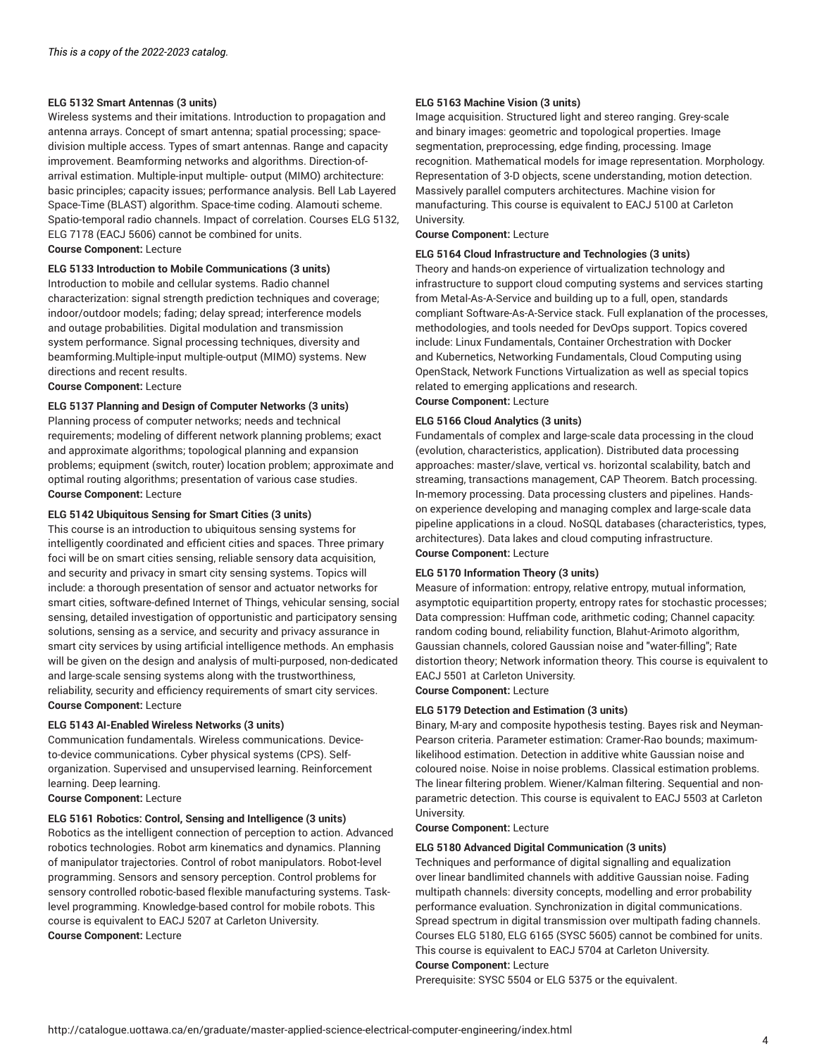#### **ELG 5132 Smart Antennas (3 units)**

Wireless systems and their imitations. Introduction to propagation and antenna arrays. Concept of smart antenna; spatial processing; spacedivision multiple access. Types of smart antennas. Range and capacity improvement. Beamforming networks and algorithms. Direction-ofarrival estimation. Multiple-input multiple- output (MIMO) architecture: basic principles; capacity issues; performance analysis. Bell Lab Layered Space-Time (BLAST) algorithm. Space-time coding. Alamouti scheme. Spatio-temporal radio channels. Impact of correlation. Courses ELG 5132, ELG 7178 (EACJ 5606) cannot be combined for units.

**Course Component:** Lecture

#### **ELG 5133 Introduction to Mobile Communications (3 units)**

Introduction to mobile and cellular systems. Radio channel characterization: signal strength prediction techniques and coverage; indoor/outdoor models; fading; delay spread; interference models and outage probabilities. Digital modulation and transmission system performance. Signal processing techniques, diversity and beamforming.Multiple-input multiple-output (MIMO) systems. New directions and recent results. **Course Component:** Lecture

#### **ELG 5137 Planning and Design of Computer Networks (3 units)**

Planning process of computer networks; needs and technical requirements; modeling of different network planning problems; exact and approximate algorithms; topological planning and expansion problems; equipment (switch, router) location problem; approximate and optimal routing algorithms; presentation of various case studies. **Course Component:** Lecture

#### **ELG 5142 Ubiquitous Sensing for Smart Cities (3 units)**

This course is an introduction to ubiquitous sensing systems for intelligently coordinated and efficient cities and spaces. Three primary foci will be on smart cities sensing, reliable sensory data acquisition, and security and privacy in smart city sensing systems. Topics will include: a thorough presentation of sensor and actuator networks for smart cities, software-defined Internet of Things, vehicular sensing, social sensing, detailed investigation of opportunistic and participatory sensing solutions, sensing as a service, and security and privacy assurance in smart city services by using artificial intelligence methods. An emphasis will be given on the design and analysis of multi-purposed, non-dedicated and large-scale sensing systems along with the trustworthiness, reliability, security and efficiency requirements of smart city services. **Course Component:** Lecture

#### **ELG 5143 AI-Enabled Wireless Networks (3 units)**

Communication fundamentals. Wireless communications. Deviceto-device communications. Cyber physical systems (CPS). Selforganization. Supervised and unsupervised learning. Reinforcement learning. Deep learning.

**Course Component:** Lecture

#### **ELG 5161 Robotics: Control, Sensing and Intelligence (3 units)**

Robotics as the intelligent connection of perception to action. Advanced robotics technologies. Robot arm kinematics and dynamics. Planning of manipulator trajectories. Control of robot manipulators. Robot-level programming. Sensors and sensory perception. Control problems for sensory controlled robotic-based flexible manufacturing systems. Tasklevel programming. Knowledge-based control for mobile robots. This course is equivalent to EACJ 5207 at Carleton University. **Course Component:** Lecture

#### **ELG 5163 Machine Vision (3 units)**

Image acquisition. Structured light and stereo ranging. Grey-scale and binary images: geometric and topological properties. Image segmentation, preprocessing, edge finding, processing. Image recognition. Mathematical models for image representation. Morphology. Representation of 3-D objects, scene understanding, motion detection. Massively parallel computers architectures. Machine vision for manufacturing. This course is equivalent to EACJ 5100 at Carleton University.

**Course Component:** Lecture

#### **ELG 5164 Cloud Infrastructure and Technologies (3 units)**

Theory and hands-on experience of virtualization technology and infrastructure to support cloud computing systems and services starting from Metal-As-A-Service and building up to a full, open, standards compliant Software-As-A-Service stack. Full explanation of the processes, methodologies, and tools needed for DevOps support. Topics covered include: Linux Fundamentals, Container Orchestration with Docker and Kubernetics, Networking Fundamentals, Cloud Computing using OpenStack, Network Functions Virtualization as well as special topics related to emerging applications and research.

**Course Component:** Lecture

#### **ELG 5166 Cloud Analytics (3 units)**

Fundamentals of complex and large-scale data processing in the cloud (evolution, characteristics, application). Distributed data processing approaches: master/slave, vertical vs. horizontal scalability, batch and streaming, transactions management, CAP Theorem. Batch processing. In-memory processing. Data processing clusters and pipelines. Handson experience developing and managing complex and large-scale data pipeline applications in a cloud. NoSQL databases (characteristics, types, architectures). Data lakes and cloud computing infrastructure. **Course Component:** Lecture

#### **ELG 5170 Information Theory (3 units)**

Measure of information: entropy, relative entropy, mutual information, asymptotic equipartition property, entropy rates for stochastic processes; Data compression: Huffman code, arithmetic coding; Channel capacity: random coding bound, reliability function, Blahut-Arimoto algorithm, Gaussian channels, colored Gaussian noise and "water-filling"; Rate distortion theory; Network information theory. This course is equivalent to EACJ 5501 at Carleton University.

**Course Component:** Lecture

#### **ELG 5179 Detection and Estimation (3 units)**

Binary, M-ary and composite hypothesis testing. Bayes risk and Neyman-Pearson criteria. Parameter estimation: Cramer-Rao bounds; maximumlikelihood estimation. Detection in additive white Gaussian noise and coloured noise. Noise in noise problems. Classical estimation problems. The linear filtering problem. Wiener/Kalman filtering. Sequential and nonparametric detection. This course is equivalent to EACJ 5503 at Carleton University.

#### **Course Component:** Lecture

#### **ELG 5180 Advanced Digital Communication (3 units)**

Techniques and performance of digital signalling and equalization over linear bandlimited channels with additive Gaussian noise. Fading multipath channels: diversity concepts, modelling and error probability performance evaluation. Synchronization in digital communications. Spread spectrum in digital transmission over multipath fading channels. Courses ELG 5180, ELG 6165 (SYSC 5605) cannot be combined for units. This course is equivalent to EACJ 5704 at Carleton University.

#### **Course Component:** Lecture

Prerequisite: SYSC 5504 or ELG 5375 or the equivalent.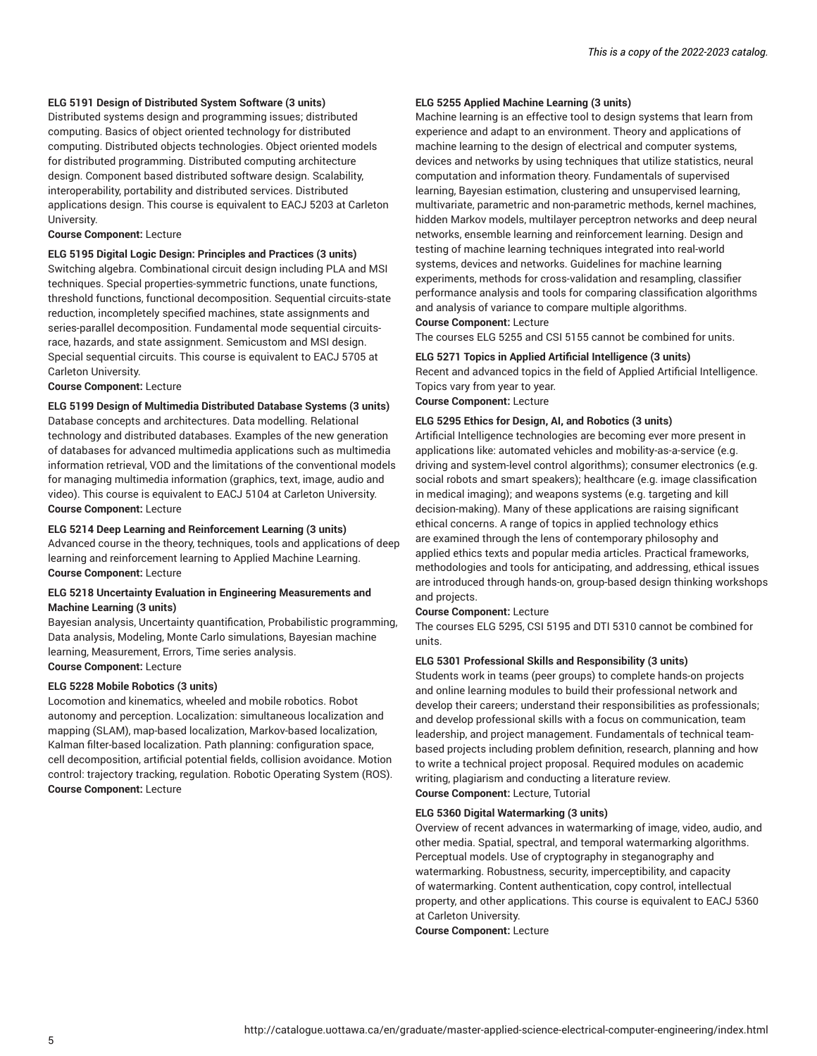#### **ELG 5191 Design of Distributed System Software (3 units)**

Distributed systems design and programming issues; distributed computing. Basics of object oriented technology for distributed computing. Distributed objects technologies. Object oriented models for distributed programming. Distributed computing architecture design. Component based distributed software design. Scalability, interoperability, portability and distributed services. Distributed applications design. This course is equivalent to EACJ 5203 at Carleton University.

#### **Course Component:** Lecture

**ELG 5195 Digital Logic Design: Principles and Practices (3 units)** Switching algebra. Combinational circuit design including PLA and MSI techniques. Special properties-symmetric functions, unate functions, threshold functions, functional decomposition. Sequential circuits-state reduction, incompletely specified machines, state assignments and series-parallel decomposition. Fundamental mode sequential circuitsrace, hazards, and state assignment. Semicustom and MSI design. Special sequential circuits. This course is equivalent to EACJ 5705 at Carleton University.

#### **Course Component:** Lecture

#### **ELG 5199 Design of Multimedia Distributed Database Systems (3 units)**

Database concepts and architectures. Data modelling. Relational technology and distributed databases. Examples of the new generation of databases for advanced multimedia applications such as multimedia information retrieval, VOD and the limitations of the conventional models for managing multimedia information (graphics, text, image, audio and video). This course is equivalent to EACJ 5104 at Carleton University. **Course Component:** Lecture

#### **ELG 5214 Deep Learning and Reinforcement Learning (3 units)**

Advanced course in the theory, techniques, tools and applications of deep learning and reinforcement learning to Applied Machine Learning. **Course Component:** Lecture

#### **ELG 5218 Uncertainty Evaluation in Engineering Measurements and Machine Learning (3 units)**

Bayesian analysis, Uncertainty quantification, Probabilistic programming, Data analysis, Modeling, Monte Carlo simulations, Bayesian machine learning, Measurement, Errors, Time series analysis. **Course Component:** Lecture

#### **ELG 5228 Mobile Robotics (3 units)**

Locomotion and kinematics, wheeled and mobile robotics. Robot autonomy and perception. Localization: simultaneous localization and mapping (SLAM), map-based localization, Markov-based localization, Kalman filter-based localization. Path planning: configuration space, cell decomposition, artificial potential fields, collision avoidance. Motion control: trajectory tracking, regulation. Robotic Operating System (ROS). **Course Component:** Lecture

#### **ELG 5255 Applied Machine Learning (3 units)**

Machine learning is an effective tool to design systems that learn from experience and adapt to an environment. Theory and applications of machine learning to the design of electrical and computer systems, devices and networks by using techniques that utilize statistics, neural computation and information theory. Fundamentals of supervised learning, Bayesian estimation, clustering and unsupervised learning, multivariate, parametric and non-parametric methods, kernel machines, hidden Markov models, multilayer perceptron networks and deep neural networks, ensemble learning and reinforcement learning. Design and testing of machine learning techniques integrated into real-world systems, devices and networks. Guidelines for machine learning experiments, methods for cross-validation and resampling, classifier performance analysis and tools for comparing classification algorithms and analysis of variance to compare multiple algorithms. **Course Component:** Lecture

The courses ELG 5255 and CSI 5155 cannot be combined for units.

#### **ELG 5271 Topics in Applied Artificial Intelligence (3 units)**

Recent and advanced topics in the field of Applied Artificial Intelligence. Topics vary from year to year.

**Course Component:** Lecture

#### **ELG 5295 Ethics for Design, AI, and Robotics (3 units)**

Artificial Intelligence technologies are becoming ever more present in applications like: automated vehicles and mobility-as-a-service (e.g. driving and system-level control algorithms); consumer electronics (e.g. social robots and smart speakers); healthcare (e.g. image classification in medical imaging); and weapons systems (e.g. targeting and kill decision-making). Many of these applications are raising significant ethical concerns. A range of topics in applied technology ethics are examined through the lens of contemporary philosophy and applied ethics texts and popular media articles. Practical frameworks, methodologies and tools for anticipating, and addressing, ethical issues are introduced through hands-on, group-based design thinking workshops and projects.

#### **Course Component:** Lecture

The courses ELG 5295, CSI 5195 and DTI 5310 cannot be combined for units.

#### **ELG 5301 Professional Skills and Responsibility (3 units)**

Students work in teams (peer groups) to complete hands-on projects and online learning modules to build their professional network and develop their careers; understand their responsibilities as professionals; and develop professional skills with a focus on communication, team leadership, and project management. Fundamentals of technical teambased projects including problem definition, research, planning and how to write a technical project proposal. Required modules on academic writing, plagiarism and conducting a literature review. **Course Component:** Lecture, Tutorial

### **ELG 5360 Digital Watermarking (3 units)**

Overview of recent advances in watermarking of image, video, audio, and other media. Spatial, spectral, and temporal watermarking algorithms. Perceptual models. Use of cryptography in steganography and watermarking. Robustness, security, imperceptibility, and capacity of watermarking. Content authentication, copy control, intellectual property, and other applications. This course is equivalent to EACJ 5360 at Carleton University.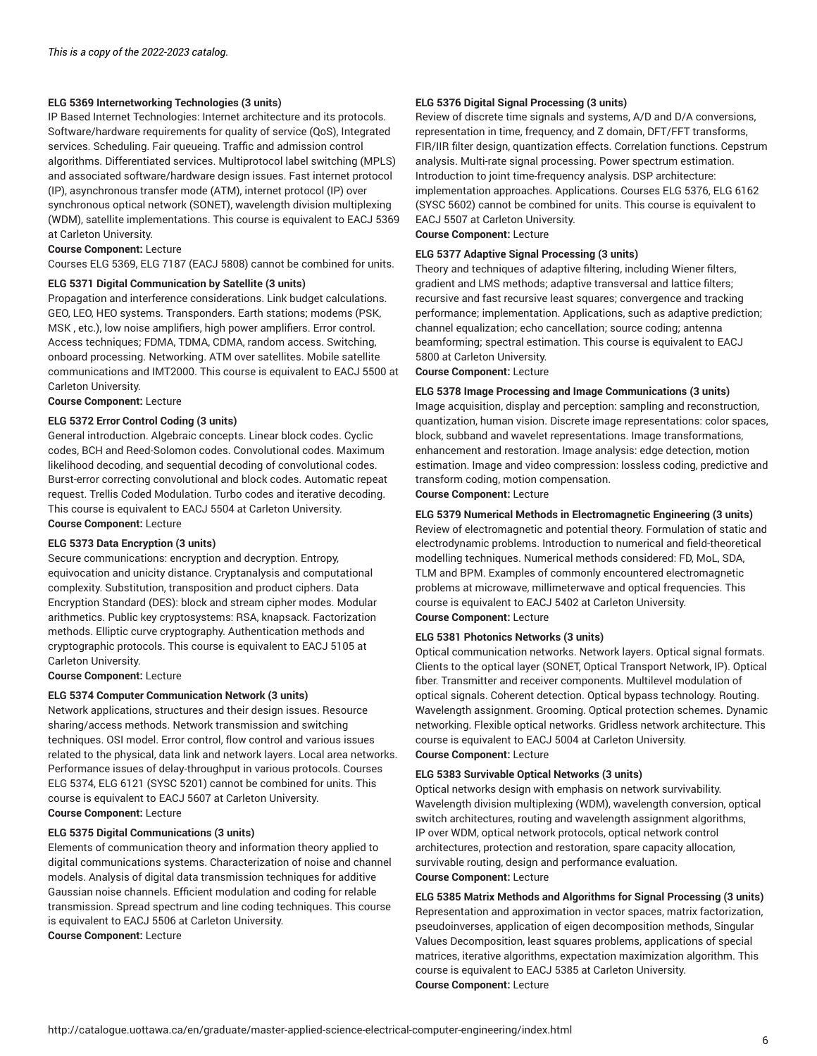#### **ELG 5369 Internetworking Technologies (3 units)**

IP Based Internet Technologies: Internet architecture and its protocols. Software/hardware requirements for quality of service (QoS), Integrated services. Scheduling. Fair queueing. Traffic and admission control algorithms. Differentiated services. Multiprotocol label switching (MPLS) and associated software/hardware design issues. Fast internet protocol (IP), asynchronous transfer mode (ATM), internet protocol (IP) over synchronous optical network (SONET), wavelength division multiplexing (WDM), satellite implementations. This course is equivalent to EACJ 5369 at Carleton University.

#### **Course Component:** Lecture

Courses ELG 5369, ELG 7187 (EACJ 5808) cannot be combined for units.

#### **ELG 5371 Digital Communication by Satellite (3 units)**

Propagation and interference considerations. Link budget calculations. GEO, LEO, HEO systems. Transponders. Earth stations; modems (PSK, MSK , etc.), low noise amplifiers, high power amplifiers. Error control. Access techniques; FDMA, TDMA, CDMA, random access. Switching, onboard processing. Networking. ATM over satellites. Mobile satellite communications and IMT2000. This course is equivalent to EACJ 5500 at Carleton University.

**Course Component:** Lecture

#### **ELG 5372 Error Control Coding (3 units)**

General introduction. Algebraic concepts. Linear block codes. Cyclic codes, BCH and Reed-Solomon codes. Convolutional codes. Maximum likelihood decoding, and sequential decoding of convolutional codes. Burst-error correcting convolutional and block codes. Automatic repeat request. Trellis Coded Modulation. Turbo codes and iterative decoding. This course is equivalent to EACJ 5504 at Carleton University.

**Course Component:** Lecture

#### **ELG 5373 Data Encryption (3 units)**

Secure communications: encryption and decryption. Entropy, equivocation and unicity distance. Cryptanalysis and computational complexity. Substitution, transposition and product ciphers. Data Encryption Standard (DES): block and stream cipher modes. Modular arithmetics. Public key cryptosystems: RSA, knapsack. Factorization methods. Elliptic curve cryptography. Authentication methods and cryptographic protocols. This course is equivalent to EACJ 5105 at Carleton University.

#### **Course Component:** Lecture

#### **ELG 5374 Computer Communication Network (3 units)**

Network applications, structures and their design issues. Resource sharing/access methods. Network transmission and switching techniques. OSI model. Error control, flow control and various issues related to the physical, data link and network layers. Local area networks. Performance issues of delay-throughput in various protocols. Courses ELG 5374, ELG 6121 (SYSC 5201) cannot be combined for units. This course is equivalent to EACJ 5607 at Carleton University. **Course Component:** Lecture

#### **ELG 5375 Digital Communications (3 units)**

Elements of communication theory and information theory applied to digital communications systems. Characterization of noise and channel models. Analysis of digital data transmission techniques for additive Gaussian noise channels. Efficient modulation and coding for relable transmission. Spread spectrum and line coding techniques. This course is equivalent to EACJ 5506 at Carleton University. **Course Component:** Lecture

#### **ELG 5376 Digital Signal Processing (3 units)**

Review of discrete time signals and systems, A/D and D/A conversions, representation in time, frequency, and Z domain, DFT/FFT transforms, FIR/IIR filter design, quantization effects. Correlation functions. Cepstrum analysis. Multi-rate signal processing. Power spectrum estimation. Introduction to joint time-frequency analysis. DSP architecture: implementation approaches. Applications. Courses ELG 5376, ELG 6162 (SYSC 5602) cannot be combined for units. This course is equivalent to EACJ 5507 at Carleton University.

**Course Component:** Lecture

#### **ELG 5377 Adaptive Signal Processing (3 units)**

Theory and techniques of adaptive filtering, including Wiener filters, gradient and LMS methods; adaptive transversal and lattice filters; recursive and fast recursive least squares; convergence and tracking performance; implementation. Applications, such as adaptive prediction; channel equalization; echo cancellation; source coding; antenna beamforming; spectral estimation. This course is equivalent to EACJ 5800 at Carleton University.

#### **Course Component:** Lecture

#### **ELG 5378 Image Processing and Image Communications (3 units)** Image acquisition, display and perception: sampling and reconstruction, quantization, human vision. Discrete image representations: color spaces, block, subband and wavelet representations. Image transformations, enhancement and restoration. Image analysis: edge detection, motion estimation. Image and video compression: lossless coding, predictive and transform coding, motion compensation.

**Course Component:** Lecture

#### **ELG 5379 Numerical Methods in Electromagnetic Engineering (3 units)**

Review of electromagnetic and potential theory. Formulation of static and electrodynamic problems. Introduction to numerical and field-theoretical modelling techniques. Numerical methods considered: FD, MoL, SDA, TLM and BPM. Examples of commonly encountered electromagnetic problems at microwave, millimeterwave and optical frequencies. This course is equivalent to EACJ 5402 at Carleton University. **Course Component:** Lecture

#### **ELG 5381 Photonics Networks (3 units)**

Optical communication networks. Network layers. Optical signal formats. Clients to the optical layer (SONET, Optical Transport Network, IP). Optical fiber. Transmitter and receiver components. Multilevel modulation of optical signals. Coherent detection. Optical bypass technology. Routing. Wavelength assignment. Grooming. Optical protection schemes. Dynamic networking. Flexible optical networks. Gridless network architecture. This course is equivalent to EACJ 5004 at Carleton University. **Course Component:** Lecture

#### **ELG 5383 Survivable Optical Networks (3 units)**

Optical networks design with emphasis on network survivability. Wavelength division multiplexing (WDM), wavelength conversion, optical switch architectures, routing and wavelength assignment algorithms, IP over WDM, optical network protocols, optical network control architectures, protection and restoration, spare capacity allocation, survivable routing, design and performance evaluation. **Course Component:** Lecture

#### **ELG 5385 Matrix Methods and Algorithms for Signal Processing (3 units)** Representation and approximation in vector spaces, matrix factorization, pseudoinverses, application of eigen decomposition methods, Singular Values Decomposition, least squares problems, applications of special matrices, iterative algorithms, expectation maximization algorithm. This course is equivalent to EACJ 5385 at Carleton University. **Course Component:** Lecture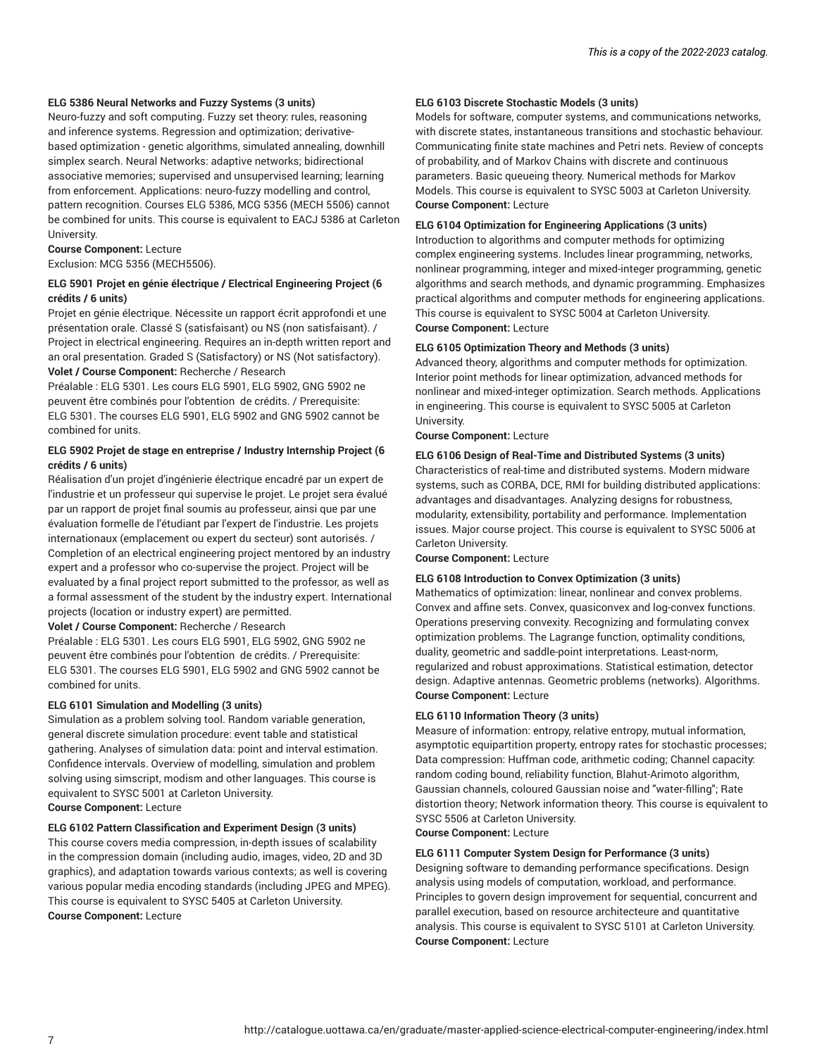#### **ELG 5386 Neural Networks and Fuzzy Systems (3 units)**

Neuro-fuzzy and soft computing. Fuzzy set theory: rules, reasoning and inference systems. Regression and optimization; derivativebased optimization - genetic algorithms, simulated annealing, downhill simplex search. Neural Networks: adaptive networks; bidirectional associative memories; supervised and unsupervised learning; learning from enforcement. Applications: neuro-fuzzy modelling and control, pattern recognition. Courses ELG 5386, MCG 5356 (MECH 5506) cannot be combined for units. This course is equivalent to EACJ 5386 at Carleton University.

#### **Course Component:** Lecture Exclusion: MCG 5356 (MECH5506).

### **ELG 5901 Projet en génie électrique / Electrical Engineering Project (6**

**crédits / 6 units)** Projet en génie électrique. Nécessite un rapport écrit approfondi et une présentation orale. Classé S (satisfaisant) ou NS (non satisfaisant). / Project in electrical engineering. Requires an in-depth written report and an oral presentation. Graded S (Satisfactory) or NS (Not satisfactory). **Volet / Course Component:** Recherche / Research

Préalable : ELG 5301. Les cours ELG 5901, ELG 5902, GNG 5902 ne peuvent être combinés pour l'obtention de crédits. / Prerequisite: ELG 5301. The courses ELG 5901, ELG 5902 and GNG 5902 cannot be combined for units.

#### **ELG 5902 Projet de stage en entreprise / Industry Internship Project (6 crédits / 6 units)**

Réalisation d'un projet d'ingénierie électrique encadré par un expert de l'industrie et un professeur qui supervise le projet. Le projet sera évalué par un rapport de projet final soumis au professeur, ainsi que par une évaluation formelle de l'étudiant par l'expert de l'industrie. Les projets internationaux (emplacement ou expert du secteur) sont autorisés. / Completion of an electrical engineering project mentored by an industry expert and a professor who co-supervise the project. Project will be evaluated by a final project report submitted to the professor, as well as a formal assessment of the student by the industry expert. International projects (location or industry expert) are permitted.

**Volet / Course Component:** Recherche / Research

Préalable : ELG 5301. Les cours ELG 5901, ELG 5902, GNG 5902 ne peuvent être combinés pour l'obtention de crédits. / Prerequisite: ELG 5301. The courses ELG 5901, ELG 5902 and GNG 5902 cannot be combined for units.

#### **ELG 6101 Simulation and Modelling (3 units)**

Simulation as a problem solving tool. Random variable generation, general discrete simulation procedure: event table and statistical gathering. Analyses of simulation data: point and interval estimation. Confidence intervals. Overview of modelling, simulation and problem solving using simscript, modism and other languages. This course is equivalent to SYSC 5001 at Carleton University. **Course Component:** Lecture

#### **ELG 6102 Pattern Classification and Experiment Design (3 units)**

This course covers media compression, in-depth issues of scalability in the compression domain (including audio, images, video, 2D and 3D graphics), and adaptation towards various contexts; as well is covering various popular media encoding standards (including JPEG and MPEG). This course is equivalent to SYSC 5405 at Carleton University. **Course Component:** Lecture

#### **ELG 6103 Discrete Stochastic Models (3 units)**

Models for software, computer systems, and communications networks, with discrete states, instantaneous transitions and stochastic behaviour. Communicating finite state machines and Petri nets. Review of concepts of probability, and of Markov Chains with discrete and continuous parameters. Basic queueing theory. Numerical methods for Markov Models. This course is equivalent to SYSC 5003 at Carleton University. **Course Component:** Lecture

#### **ELG 6104 Optimization for Engineering Applications (3 units)**

Introduction to algorithms and computer methods for optimizing complex engineering systems. Includes linear programming, networks, nonlinear programming, integer and mixed-integer programming, genetic algorithms and search methods, and dynamic programming. Emphasizes practical algorithms and computer methods for engineering applications. This course is equivalent to SYSC 5004 at Carleton University. **Course Component:** Lecture

#### **ELG 6105 Optimization Theory and Methods (3 units)**

Advanced theory, algorithms and computer methods for optimization. Interior point methods for linear optimization, advanced methods for nonlinear and mixed-integer optimization. Search methods. Applications in engineering. This course is equivalent to SYSC 5005 at Carleton University.

#### **Course Component:** Lecture

#### **ELG 6106 Design of Real-Time and Distributed Systems (3 units)**

Characteristics of real-time and distributed systems. Modern midware systems, such as CORBA, DCE, RMI for building distributed applications: advantages and disadvantages. Analyzing designs for robustness, modularity, extensibility, portability and performance. Implementation issues. Major course project. This course is equivalent to SYSC 5006 at Carleton University.

**Course Component:** Lecture

#### **ELG 6108 Introduction to Convex Optimization (3 units)**

Mathematics of optimization: linear, nonlinear and convex problems. Convex and affine sets. Convex, quasiconvex and log-convex functions. Operations preserving convexity. Recognizing and formulating convex optimization problems. The Lagrange function, optimality conditions, duality, geometric and saddle-point interpretations. Least-norm, regularized and robust approximations. Statistical estimation, detector design. Adaptive antennas. Geometric problems (networks). Algorithms. **Course Component:** Lecture

#### **ELG 6110 Information Theory (3 units)**

Measure of information: entropy, relative entropy, mutual information, asymptotic equipartition property, entropy rates for stochastic processes; Data compression: Huffman code, arithmetic coding; Channel capacity: random coding bound, reliability function, Blahut-Arimoto algorithm, Gaussian channels, coloured Gaussian noise and "water-filling"; Rate distortion theory; Network information theory. This course is equivalent to SYSC 5506 at Carleton University.

**Course Component:** Lecture

#### **ELG 6111 Computer System Design for Performance (3 units)**

Designing software to demanding performance specifications. Design analysis using models of computation, workload, and performance. Principles to govern design improvement for sequential, concurrent and parallel execution, based on resource architecteure and quantitative analysis. This course is equivalent to SYSC 5101 at Carleton University. **Course Component:** Lecture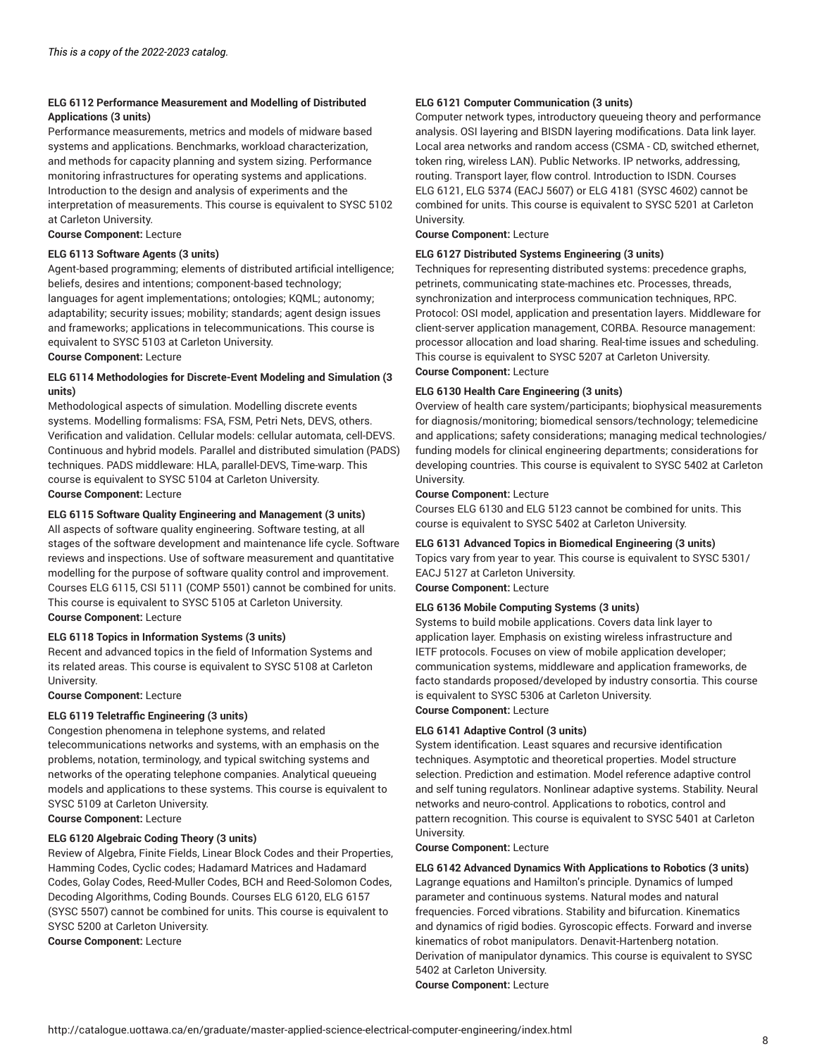#### **ELG 6112 Performance Measurement and Modelling of Distributed Applications (3 units)**

Performance measurements, metrics and models of midware based systems and applications. Benchmarks, workload characterization, and methods for capacity planning and system sizing. Performance monitoring infrastructures for operating systems and applications. Introduction to the design and analysis of experiments and the interpretation of measurements. This course is equivalent to SYSC 5102 at Carleton University.

**Course Component:** Lecture

#### **ELG 6113 Software Agents (3 units)**

Agent-based programming; elements of distributed artificial intelligence; beliefs, desires and intentions; component-based technology; languages for agent implementations; ontologies; KQML; autonomy; adaptability; security issues; mobility; standards; agent design issues and frameworks; applications in telecommunications. This course is equivalent to SYSC 5103 at Carleton University.

**Course Component:** Lecture

#### **ELG 6114 Methodologies for Discrete-Event Modeling and Simulation (3 units)**

Methodological aspects of simulation. Modelling discrete events systems. Modelling formalisms: FSA, FSM, Petri Nets, DEVS, others. Verification and validation. Cellular models: cellular automata, cell-DEVS. Continuous and hybrid models. Parallel and distributed simulation (PADS) techniques. PADS middleware: HLA, parallel-DEVS, Time-warp. This course is equivalent to SYSC 5104 at Carleton University. **Course Component:** Lecture

#### **ELG 6115 Software Quality Engineering and Management (3 units)**

All aspects of software quality engineering. Software testing, at all stages of the software development and maintenance life cycle. Software reviews and inspections. Use of software measurement and quantitative modelling for the purpose of software quality control and improvement. Courses ELG 6115, CSI 5111 (COMP 5501) cannot be combined for units. This course is equivalent to SYSC 5105 at Carleton University. **Course Component:** Lecture

#### **ELG 6118 Topics in Information Systems (3 units)**

Recent and advanced topics in the field of Information Systems and its related areas. This course is equivalent to SYSC 5108 at Carleton University.

#### **Course Component:** Lecture

#### **ELG 6119 Teletraffic Engineering (3 units)**

Congestion phenomena in telephone systems, and related telecommunications networks and systems, with an emphasis on the problems, notation, terminology, and typical switching systems and networks of the operating telephone companies. Analytical queueing models and applications to these systems. This course is equivalent to SYSC 5109 at Carleton University.

### **Course Component:** Lecture

#### **ELG 6120 Algebraic Coding Theory (3 units)**

Review of Algebra, Finite Fields, Linear Block Codes and their Properties, Hamming Codes, Cyclic codes; Hadamard Matrices and Hadamard Codes, Golay Codes, Reed-Muller Codes, BCH and Reed-Solomon Codes, Decoding Algorithms, Coding Bounds. Courses ELG 6120, ELG 6157 (SYSC 5507) cannot be combined for units. This course is equivalent to SYSC 5200 at Carleton University.

**Course Component:** Lecture

#### **ELG 6121 Computer Communication (3 units)**

Computer network types, introductory queueing theory and performance analysis. OSI layering and BISDN layering modifications. Data link layer. Local area networks and random access (CSMA - CD, switched ethernet, token ring, wireless LAN). Public Networks. IP networks, addressing, routing. Transport layer, flow control. Introduction to ISDN. Courses ELG 6121, ELG 5374 (EACJ 5607) or ELG 4181 (SYSC 4602) cannot be combined for units. This course is equivalent to SYSC 5201 at Carleton University.

**Course Component:** Lecture

#### **ELG 6127 Distributed Systems Engineering (3 units)**

Techniques for representing distributed systems: precedence graphs, petrinets, communicating state-machines etc. Processes, threads, synchronization and interprocess communication techniques, RPC. Protocol: OSI model, application and presentation layers. Middleware for client-server application management, CORBA. Resource management: processor allocation and load sharing. Real-time issues and scheduling. This course is equivalent to SYSC 5207 at Carleton University. **Course Component:** Lecture

#### **ELG 6130 Health Care Engineering (3 units)**

Overview of health care system/participants; biophysical measurements for diagnosis/monitoring; biomedical sensors/technology; telemedicine and applications; safety considerations; managing medical technologies/ funding models for clinical engineering departments; considerations for developing countries. This course is equivalent to SYSC 5402 at Carleton University.

#### **Course Component:** Lecture

Courses ELG 6130 and ELG 5123 cannot be combined for units. This course is equivalent to SYSC 5402 at Carleton University.

#### **ELG 6131 Advanced Topics in Biomedical Engineering (3 units)**

Topics vary from year to year. This course is equivalent to SYSC 5301/ EACJ 5127 at Carleton University.

**Course Component:** Lecture

#### **ELG 6136 Mobile Computing Systems (3 units)**

Systems to build mobile applications. Covers data link layer to application layer. Emphasis on existing wireless infrastructure and IETF protocols. Focuses on view of mobile application developer; communication systems, middleware and application frameworks, de facto standards proposed/developed by industry consortia. This course is equivalent to SYSC 5306 at Carleton University. **Course Component:** Lecture

#### **ELG 6141 Adaptive Control (3 units)**

System identification. Least squares and recursive identification techniques. Asymptotic and theoretical properties. Model structure selection. Prediction and estimation. Model reference adaptive control and self tuning regulators. Nonlinear adaptive systems. Stability. Neural networks and neuro-control. Applications to robotics, control and pattern recognition. This course is equivalent to SYSC 5401 at Carleton University.

**Course Component:** Lecture

**ELG 6142 Advanced Dynamics With Applications to Robotics (3 units)** Lagrange equations and Hamilton's principle. Dynamics of lumped parameter and continuous systems. Natural modes and natural frequencies. Forced vibrations. Stability and bifurcation. Kinematics and dynamics of rigid bodies. Gyroscopic effects. Forward and inverse kinematics of robot manipulators. Denavit-Hartenberg notation. Derivation of manipulator dynamics. This course is equivalent to SYSC 5402 at Carleton University. **Course Component:** Lecture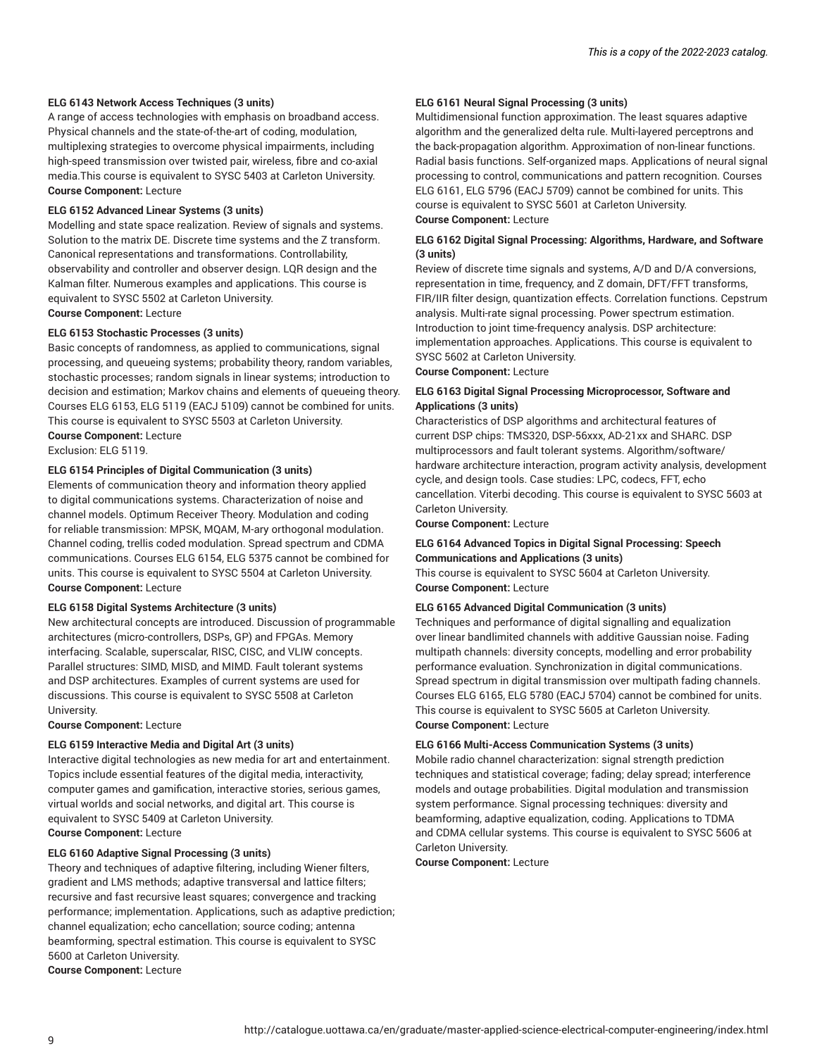#### **ELG 6143 Network Access Techniques (3 units)**

A range of access technologies with emphasis on broadband access. Physical channels and the state-of-the-art of coding, modulation, multiplexing strategies to overcome physical impairments, including high-speed transmission over twisted pair, wireless, fibre and co-axial media.This course is equivalent to SYSC 5403 at Carleton University. **Course Component:** Lecture

#### **ELG 6152 Advanced Linear Systems (3 units)**

Modelling and state space realization. Review of signals and systems. Solution to the matrix DE. Discrete time systems and the Z transform. Canonical representations and transformations. Controllability, observability and controller and observer design. LQR design and the Kalman filter. Numerous examples and applications. This course is equivalent to SYSC 5502 at Carleton University.

**Course Component:** Lecture

#### **ELG 6153 Stochastic Processes (3 units)**

Basic concepts of randomness, as applied to communications, signal processing, and queueing systems; probability theory, random variables, stochastic processes; random signals in linear systems; introduction to decision and estimation; Markov chains and elements of queueing theory. Courses ELG 6153, ELG 5119 (EACJ 5109) cannot be combined for units. This course is equivalent to SYSC 5503 at Carleton University.

**Course Component:** Lecture Exclusion: ELG 5119.

#### **ELG 6154 Principles of Digital Communication (3 units)**

Elements of communication theory and information theory applied to digital communications systems. Characterization of noise and channel models. Optimum Receiver Theory. Modulation and coding for reliable transmission: MPSK, MQAM, M-ary orthogonal modulation. Channel coding, trellis coded modulation. Spread spectrum and CDMA communications. Courses ELG 6154, ELG 5375 cannot be combined for units. This course is equivalent to SYSC 5504 at Carleton University. **Course Component:** Lecture

#### **ELG 6158 Digital Systems Architecture (3 units)**

New architectural concepts are introduced. Discussion of programmable architectures (micro-controllers, DSPs, GP) and FPGAs. Memory interfacing. Scalable, superscalar, RISC, CISC, and VLIW concepts. Parallel structures: SIMD, MISD, and MIMD. Fault tolerant systems and DSP architectures. Examples of current systems are used for discussions. This course is equivalent to SYSC 5508 at Carleton University.

**Course Component:** Lecture

#### **ELG 6159 Interactive Media and Digital Art (3 units)**

Interactive digital technologies as new media for art and entertainment. Topics include essential features of the digital media, interactivity, computer games and gamification, interactive stories, serious games, virtual worlds and social networks, and digital art. This course is equivalent to SYSC 5409 at Carleton University. **Course Component:** Lecture

#### **ELG 6160 Adaptive Signal Processing (3 units)**

Theory and techniques of adaptive filtering, including Wiener filters, gradient and LMS methods; adaptive transversal and lattice filters; recursive and fast recursive least squares; convergence and tracking performance; implementation. Applications, such as adaptive prediction; channel equalization; echo cancellation; source coding; antenna beamforming, spectral estimation. This course is equivalent to SYSC 5600 at Carleton University. **Course Component:** Lecture

#### **ELG 6161 Neural Signal Processing (3 units)**

Multidimensional function approximation. The least squares adaptive algorithm and the generalized delta rule. Multi-layered perceptrons and the back-propagation algorithm. Approximation of non-linear functions. Radial basis functions. Self-organized maps. Applications of neural signal processing to control, communications and pattern recognition. Courses ELG 6161, ELG 5796 (EACJ 5709) cannot be combined for units. This course is equivalent to SYSC 5601 at Carleton University. **Course Component:** Lecture

#### **ELG 6162 Digital Signal Processing: Algorithms, Hardware, and Software (3 units)**

Review of discrete time signals and systems, A/D and D/A conversions, representation in time, frequency, and Z domain, DFT/FFT transforms, FIR/IIR filter design, quantization effects. Correlation functions. Cepstrum analysis. Multi-rate signal processing. Power spectrum estimation. Introduction to joint time-frequency analysis. DSP architecture: implementation approaches. Applications. This course is equivalent to SYSC 5602 at Carleton University.

**Course Component:** Lecture

#### **ELG 6163 Digital Signal Processing Microprocessor, Software and Applications (3 units)**

Characteristics of DSP algorithms and architectural features of current DSP chips: TMS320, DSP-56xxx, AD-21xx and SHARC. DSP multiprocessors and fault tolerant systems. Algorithm/software/ hardware architecture interaction, program activity analysis, development cycle, and design tools. Case studies: LPC, codecs, FFT, echo cancellation. Viterbi decoding. This course is equivalent to SYSC 5603 at Carleton University.

**Course Component:** Lecture

#### **ELG 6164 Advanced Topics in Digital Signal Processing: Speech Communications and Applications (3 units)**

This course is equivalent to SYSC 5604 at Carleton University. **Course Component:** Lecture

#### **ELG 6165 Advanced Digital Communication (3 units)**

Techniques and performance of digital signalling and equalization over linear bandlimited channels with additive Gaussian noise. Fading multipath channels: diversity concepts, modelling and error probability performance evaluation. Synchronization in digital communications. Spread spectrum in digital transmission over multipath fading channels. Courses ELG 6165, ELG 5780 (EACJ 5704) cannot be combined for units. This course is equivalent to SYSC 5605 at Carleton University. **Course Component:** Lecture

**ELG 6166 Multi-Access Communication Systems (3 units)**

Mobile radio channel characterization: signal strength prediction techniques and statistical coverage; fading; delay spread; interference models and outage probabilities. Digital modulation and transmission system performance. Signal processing techniques: diversity and beamforming, adaptive equalization, coding. Applications to TDMA and CDMA cellular systems. This course is equivalent to SYSC 5606 at Carleton University.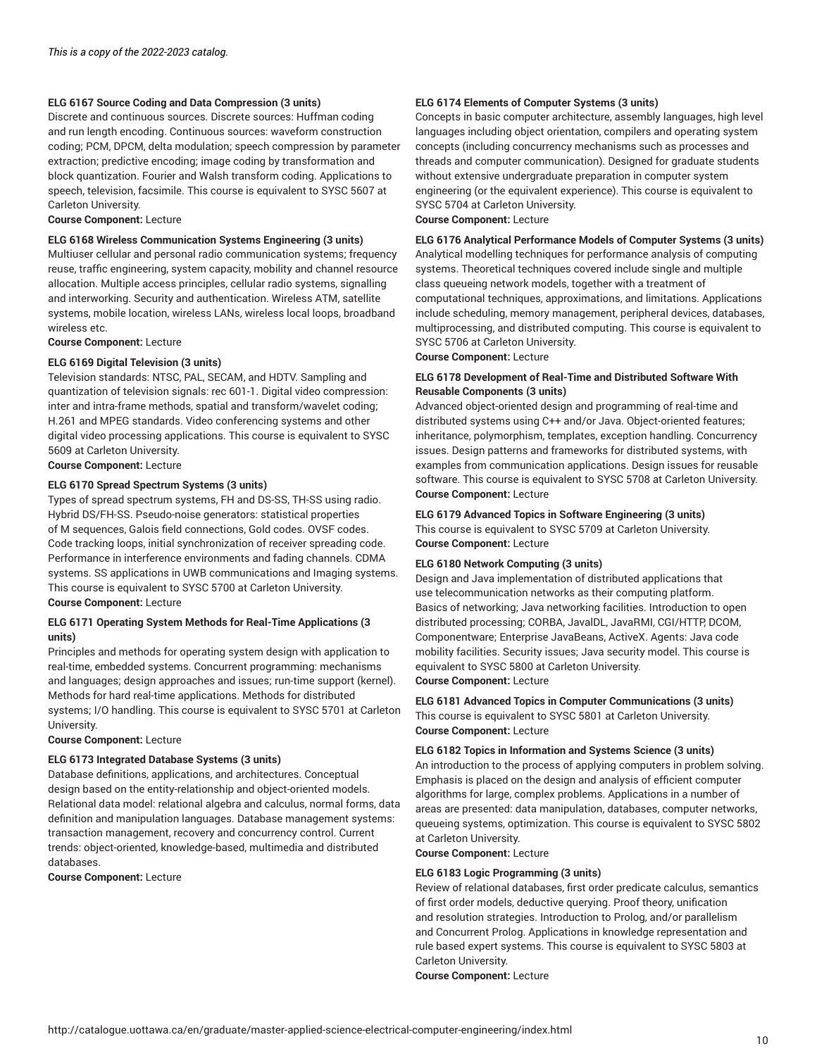#### **ELG 6167 Source Coding and Data Compression (3 units)**

Discrete and continuous sources. Discrete sources: Huffman coding and run length encoding. Continuous sources: waveform construction coding; PCM, DPCM, delta modulation; speech compression by parameter extraction; predictive encoding; image coding by transformation and block quantization. Fourier and Walsh transform coding. Applications to speech, television, facsimile. This course is equivalent to SYSC 5607 at Carleton University.

**Course Component:** Lecture

#### **ELG 6168 Wireless Communication Systems Engineering (3 units)**

Multiuser cellular and personal radio communication systems; frequency reuse, traffic engineering, system capacity, mobility and channel resource allocation. Multiple access principles, cellular radio systems, signalling and interworking. Security and authentication. Wireless ATM, satellite systems, mobile location, wireless LANs, wireless local loops, broadband wireless etc.

**Course Component:** Lecture

#### **ELG 6169 Digital Television (3 units)**

Television standards: NTSC, PAL, SECAM, and HDTV. Sampling and quantization of television signals: rec 601-1. Digital video compression: inter and intra-frame methods, spatial and transform/wavelet coding; H.261 and MPEG standards. Video conferencing systems and other digital video processing applications. This course is equivalent to SYSC 5609 at Carleton University.

**Course Component:** Lecture

#### **ELG 6170 Spread Spectrum Systems (3 units)**

Types of spread spectrum systems, FH and DS-SS, TH-SS using radio. Hybrid DS/FH-SS. Pseudo-noise generators: statistical properties of M sequences, Galois field connections, Gold codes. OVSF codes. Code tracking loops, initial synchronization of receiver spreading code. Performance in interference environments and fading channels. CDMA systems. SS applications in UWB communications and Imaging systems. This course is equivalent to SYSC 5700 at Carleton University. **Course Component:** Lecture

#### **ELG 6171 Operating System Methods for Real-Time Applications (3 units)**

Principles and methods for operating system design with application to real-time, embedded systems. Concurrent programming: mechanisms and languages; design approaches and issues; run-time support (kernel). Methods for hard real-time applications. Methods for distributed systems; I/O handling. This course is equivalent to SYSC 5701 at Carleton University.

#### **Course Component:** Lecture

#### **ELG 6173 Integrated Database Systems (3 units)**

Database definitions, applications, and architectures. Conceptual design based on the entity-relationship and object-oriented models. Relational data model: relational algebra and calculus, normal forms, data definition and manipulation languages. Database management systems: transaction management, recovery and concurrency control. Current trends: object-oriented, knowledge-based, multimedia and distributed databases.

**Course Component:** Lecture

#### **ELG 6174 Elements of Computer Systems (3 units)**

Concepts in basic computer architecture, assembly languages, high level languages including object orientation, compilers and operating system concepts (including concurrency mechanisms such as processes and threads and computer communication). Designed for graduate students without extensive undergraduate preparation in computer system engineering (or the equivalent experience). This course is equivalent to SYSC 5704 at Carleton University.

**Course Component:** Lecture

**ELG 6176 Analytical Performance Models of Computer Systems (3 units)** Analytical modelling techniques for performance analysis of computing systems. Theoretical techniques covered include single and multiple class queueing network models, together with a treatment of computational techniques, approximations, and limitations. Applications include scheduling, memory management, peripheral devices, databases, multiprocessing, and distributed computing. This course is equivalent to SYSC 5706 at Carleton University.

**Course Component:** Lecture

#### **ELG 6178 Development of Real-Time and Distributed Software With Reusable Components (3 units)**

Advanced object-oriented design and programming of real-time and distributed systems using C++ and/or Java. Object-oriented features; inheritance, polymorphism, templates, exception handling. Concurrency issues. Design patterns and frameworks for distributed systems, with examples from communication applications. Design issues for reusable software. This course is equivalent to SYSC 5708 at Carleton University. **Course Component:** Lecture

#### **ELG 6179 Advanced Topics in Software Engineering (3 units)**

This course is equivalent to SYSC 5709 at Carleton University. **Course Component:** Lecture

#### **ELG 6180 Network Computing (3 units)**

Design and Java implementation of distributed applications that use telecommunication networks as their computing platform. Basics of networking; Java networking facilities. Introduction to open distributed processing; CORBA, JavalDL, JavaRMI, CGI/HTTP, DCOM, Componentware; Enterprise JavaBeans, ActiveX. Agents: Java code mobility facilities. Security issues; Java security model. This course is equivalent to SYSC 5800 at Carleton University.

**Course Component:** Lecture

**ELG 6181 Advanced Topics in Computer Communications (3 units)** This course is equivalent to SYSC 5801 at Carleton University. **Course Component:** Lecture

#### **ELG 6182 Topics in Information and Systems Science (3 units)**

An introduction to the process of applying computers in problem solving. Emphasis is placed on the design and analysis of efficient computer algorithms for large, complex problems. Applications in a number of areas are presented: data manipulation, databases, computer networks, queueing systems, optimization. This course is equivalent to SYSC 5802 at Carleton University.

**Course Component:** Lecture

#### **ELG 6183 Logic Programming (3 units)**

Review of relational databases, first order predicate calculus, semantics of first order models, deductive querying. Proof theory, unification and resolution strategies. Introduction to Prolog, and/or parallelism and Concurrent Prolog. Applications in knowledge representation and rule based expert systems. This course is equivalent to SYSC 5803 at Carleton University.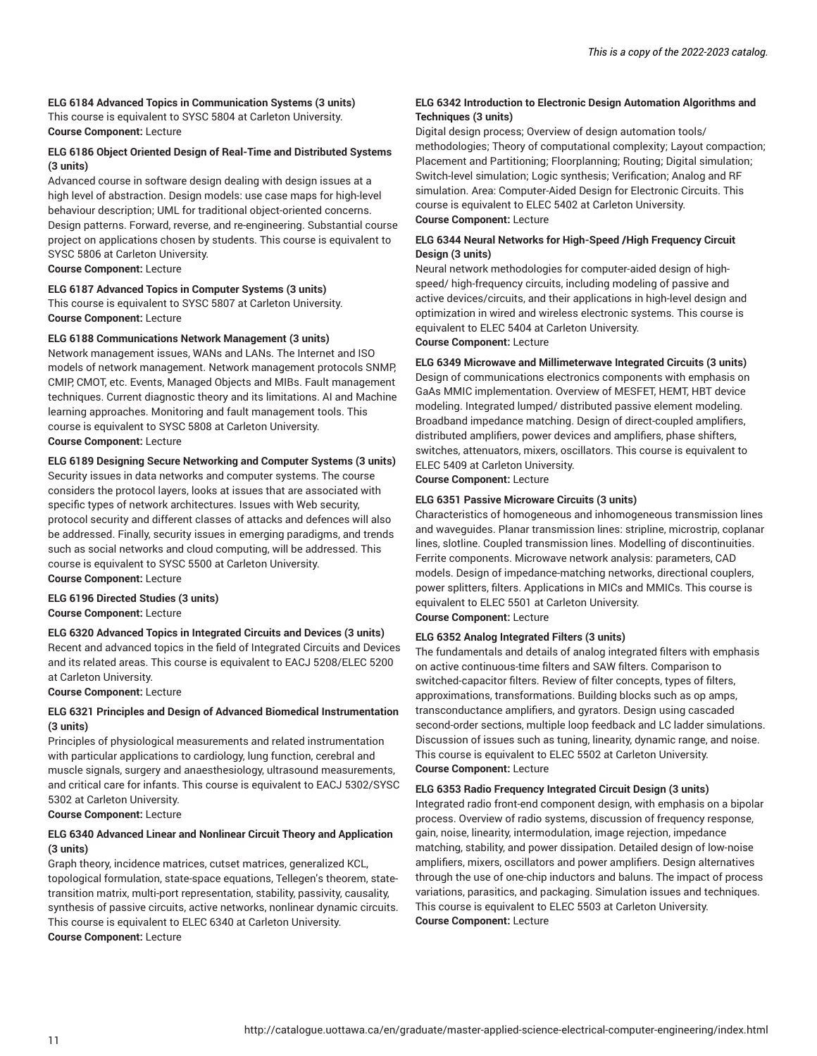#### **ELG 6184 Advanced Topics in Communication Systems (3 units)**

This course is equivalent to SYSC 5804 at Carleton University. **Course Component:** Lecture

#### **ELG 6186 Object Oriented Design of Real-Time and Distributed Systems (3 units)**

Advanced course in software design dealing with design issues at a high level of abstraction. Design models: use case maps for high-level behaviour description; UML for traditional object-oriented concerns. Design patterns. Forward, reverse, and re-engineering. Substantial course project on applications chosen by students. This course is equivalent to SYSC 5806 at Carleton University.

**Course Component:** Lecture

#### **ELG 6187 Advanced Topics in Computer Systems (3 units)**

This course is equivalent to SYSC 5807 at Carleton University. **Course Component:** Lecture

#### **ELG 6188 Communications Network Management (3 units)**

Network management issues, WANs and LANs. The Internet and ISO models of network management. Network management protocols SNMP, CMIP, CMOT, etc. Events, Managed Objects and MIBs. Fault management techniques. Current diagnostic theory and its limitations. AI and Machine learning approaches. Monitoring and fault management tools. This course is equivalent to SYSC 5808 at Carleton University. **Course Component:** Lecture

#### **ELG 6189 Designing Secure Networking and Computer Systems (3 units)**

Security issues in data networks and computer systems. The course considers the protocol layers, looks at issues that are associated with specific types of network architectures. Issues with Web security, protocol security and different classes of attacks and defences will also be addressed. Finally, security issues in emerging paradigms, and trends such as social networks and cloud computing, will be addressed. This course is equivalent to SYSC 5500 at Carleton University. **Course Component:** Lecture

#### **ELG 6196 Directed Studies (3 units) Course Component:** Lecture

#### **ELG 6320 Advanced Topics in Integrated Circuits and Devices (3 units)**

Recent and advanced topics in the field of Integrated Circuits and Devices and its related areas. This course is equivalent to EACJ 5208/ELEC 5200 at Carleton University.

#### **Course Component:** Lecture

#### **ELG 6321 Principles and Design of Advanced Biomedical Instrumentation (3 units)**

Principles of physiological measurements and related instrumentation with particular applications to cardiology, lung function, cerebral and muscle signals, surgery and anaesthesiology, ultrasound measurements, and critical care for infants. This course is equivalent to EACJ 5302/SYSC 5302 at Carleton University.

### **Course Component:** Lecture

#### **ELG 6340 Advanced Linear and Nonlinear Circuit Theory and Application (3 units)**

Graph theory, incidence matrices, cutset matrices, generalized KCL, topological formulation, state-space equations, Tellegen's theorem, statetransition matrix, multi-port representation, stability, passivity, causality, synthesis of passive circuits, active networks, nonlinear dynamic circuits. This course is equivalent to ELEC 6340 at Carleton University. **Course Component:** Lecture

#### **ELG 6342 Introduction to Electronic Design Automation Algorithms and Techniques (3 units)**

Digital design process; Overview of design automation tools/ methodologies; Theory of computational complexity; Layout compaction; Placement and Partitioning; Floorplanning; Routing; Digital simulation; Switch-level simulation; Logic synthesis; Verification; Analog and RF simulation. Area: Computer-Aided Design for Electronic Circuits. This course is equivalent to ELEC 5402 at Carleton University. **Course Component:** Lecture

#### **ELG 6344 Neural Networks for High-Speed /High Frequency Circuit Design (3 units)**

Neural network methodologies for computer-aided design of highspeed/ high-frequency circuits, including modeling of passive and active devices/circuits, and their applications in high-level design and optimization in wired and wireless electronic systems. This course is equivalent to ELEC 5404 at Carleton University. **Course Component:** Lecture

#### **ELG 6349 Microwave and Millimeterwave Integrated Circuits (3 units)**

Design of communications electronics components with emphasis on GaAs MMIC implementation. Overview of MESFET, HEMT, HBT device modeling. Integrated lumped/ distributed passive element modeling. Broadband impedance matching. Design of direct-coupled amplifiers, distributed amplifiers, power devices and amplifiers, phase shifters, switches, attenuators, mixers, oscillators. This course is equivalent to ELEC 5409 at Carleton University.

**Course Component:** Lecture

#### **ELG 6351 Passive Microware Circuits (3 units)**

Characteristics of homogeneous and inhomogeneous transmission lines and waveguides. Planar transmission lines: stripline, microstrip, coplanar lines, slotline. Coupled transmission lines. Modelling of discontinuities. Ferrite components. Microwave network analysis: parameters, CAD models. Design of impedance-matching networks, directional couplers, power splitters, filters. Applications in MICs and MMICs. This course is equivalent to ELEC 5501 at Carleton University. **Course Component:** Lecture

#### **ELG 6352 Analog Integrated Filters (3 units)**

The fundamentals and details of analog integrated filters with emphasis on active continuous-time filters and SAW filters. Comparison to switched-capacitor filters. Review of filter concepts, types of filters, approximations, transformations. Building blocks such as op amps, transconductance amplifiers, and gyrators. Design using cascaded second-order sections, multiple loop feedback and LC ladder simulations. Discussion of issues such as tuning, linearity, dynamic range, and noise. This course is equivalent to ELEC 5502 at Carleton University. **Course Component:** Lecture

#### **ELG 6353 Radio Frequency Integrated Circuit Design (3 units)**

Integrated radio front-end component design, with emphasis on a bipolar process. Overview of radio systems, discussion of frequency response, gain, noise, linearity, intermodulation, image rejection, impedance matching, stability, and power dissipation. Detailed design of low-noise amplifiers, mixers, oscillators and power amplifiers. Design alternatives through the use of one-chip inductors and baluns. The impact of process variations, parasitics, and packaging. Simulation issues and techniques. This course is equivalent to ELEC 5503 at Carleton University. **Course Component:** Lecture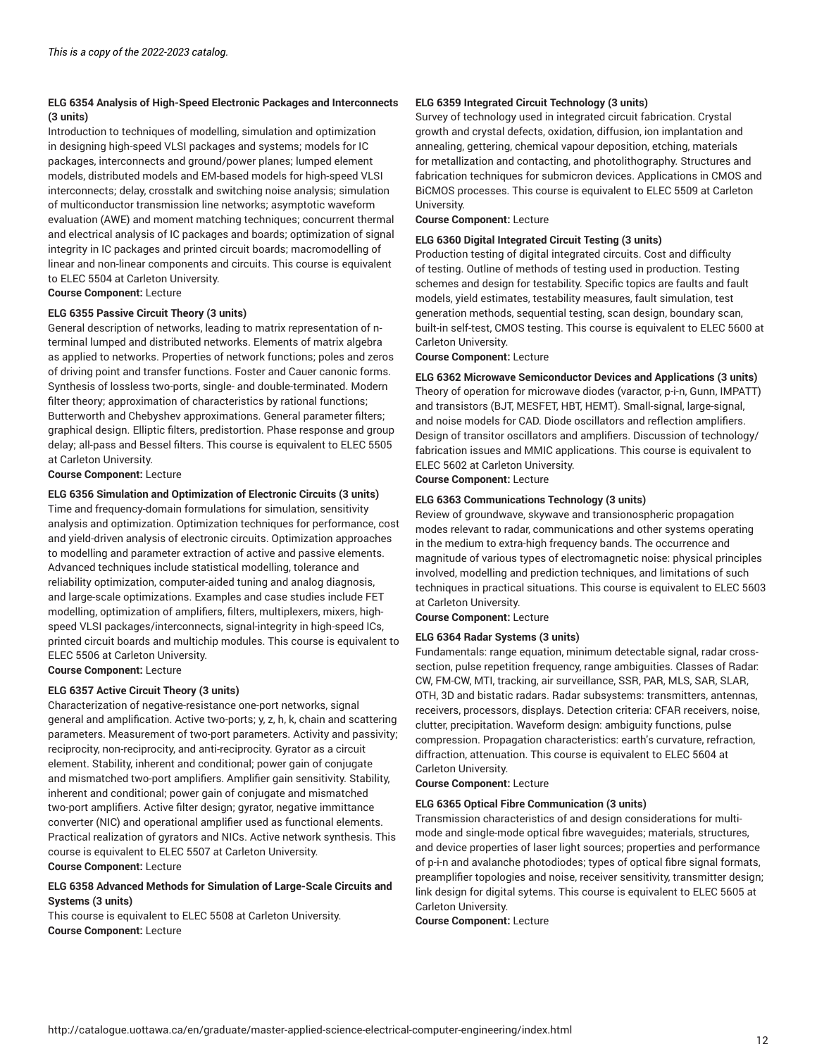#### **ELG 6354 Analysis of High-Speed Electronic Packages and Interconnects (3 units)**

Introduction to techniques of modelling, simulation and optimization in designing high-speed VLSI packages and systems; models for IC packages, interconnects and ground/power planes; lumped element models, distributed models and EM-based models for high-speed VLSI interconnects; delay, crosstalk and switching noise analysis; simulation of multiconductor transmission line networks; asymptotic waveform evaluation (AWE) and moment matching techniques; concurrent thermal and electrical analysis of IC packages and boards; optimization of signal integrity in IC packages and printed circuit boards; macromodelling of linear and non-linear components and circuits. This course is equivalent to ELEC 5504 at Carleton University.

#### **Course Component:** Lecture

### **ELG 6355 Passive Circuit Theory (3 units)**

General description of networks, leading to matrix representation of nterminal lumped and distributed networks. Elements of matrix algebra as applied to networks. Properties of network functions; poles and zeros of driving point and transfer functions. Foster and Cauer canonic forms. Synthesis of lossless two-ports, single- and double-terminated. Modern filter theory; approximation of characteristics by rational functions; Butterworth and Chebyshev approximations. General parameter filters; graphical design. Elliptic filters, predistortion. Phase response and group delay; all-pass and Bessel filters. This course is equivalent to ELEC 5505 at Carleton University.

**Course Component:** Lecture

#### **ELG 6356 Simulation and Optimization of Electronic Circuits (3 units)**

Time and frequency-domain formulations for simulation, sensitivity analysis and optimization. Optimization techniques for performance, cost and yield-driven analysis of electronic circuits. Optimization approaches to modelling and parameter extraction of active and passive elements. Advanced techniques include statistical modelling, tolerance and reliability optimization, computer-aided tuning and analog diagnosis, and large-scale optimizations. Examples and case studies include FET modelling, optimization of amplifiers, filters, multiplexers, mixers, highspeed VLSI packages/interconnects, signal-integrity in high-speed ICs, printed circuit boards and multichip modules. This course is equivalent to ELEC 5506 at Carleton University.

**Course Component:** Lecture

#### **ELG 6357 Active Circuit Theory (3 units)**

Characterization of negative-resistance one-port networks, signal general and amplification. Active two-ports; y, z, h, k, chain and scattering parameters. Measurement of two-port parameters. Activity and passivity; reciprocity, non-reciprocity, and anti-reciprocity. Gyrator as a circuit element. Stability, inherent and conditional; power gain of conjugate and mismatched two-port amplifiers. Amplifier gain sensitivity. Stability, inherent and conditional; power gain of conjugate and mismatched two-port amplifiers. Active filter design; gyrator, negative immittance converter (NIC) and operational amplifier used as functional elements. Practical realization of gyrators and NICs. Active network synthesis. This course is equivalent to ELEC 5507 at Carleton University. **Course Component:** Lecture

#### **ELG 6358 Advanced Methods for Simulation of Large-Scale Circuits and Systems (3 units)**

This course is equivalent to ELEC 5508 at Carleton University. **Course Component:** Lecture

#### **ELG 6359 Integrated Circuit Technology (3 units)**

Survey of technology used in integrated circuit fabrication. Crystal growth and crystal defects, oxidation, diffusion, ion implantation and annealing, gettering, chemical vapour deposition, etching, materials for metallization and contacting, and photolithography. Structures and fabrication techniques for submicron devices. Applications in CMOS and BiCMOS processes. This course is equivalent to ELEC 5509 at Carleton University.

**Course Component:** Lecture

#### **ELG 6360 Digital Integrated Circuit Testing (3 units)**

Production testing of digital integrated circuits. Cost and difficulty of testing. Outline of methods of testing used in production. Testing schemes and design for testability. Specific topics are faults and fault models, yield estimates, testability measures, fault simulation, test generation methods, sequential testing, scan design, boundary scan, built-in self-test, CMOS testing. This course is equivalent to ELEC 5600 at Carleton University.

**Course Component:** Lecture

#### **ELG 6362 Microwave Semiconductor Devices and Applications (3 units)**

Theory of operation for microwave diodes (varactor, p-i-n, Gunn, IMPATT) and transistors (BJT, MESFET, HBT, HEMT). Small-signal, large-signal, and noise models for CAD. Diode oscillators and reflection amplifiers. Design of transitor oscillators and amplifiers. Discussion of technology/ fabrication issues and MMIC applications. This course is equivalent to ELEC 5602 at Carleton University.

**Course Component:** Lecture

#### **ELG 6363 Communications Technology (3 units)**

Review of groundwave, skywave and transionospheric propagation modes relevant to radar, communications and other systems operating in the medium to extra-high frequency bands. The occurrence and magnitude of various types of electromagnetic noise: physical principles involved, modelling and prediction techniques, and limitations of such techniques in practical situations. This course is equivalent to ELEC 5603 at Carleton University.

**Course Component:** Lecture

#### **ELG 6364 Radar Systems (3 units)**

Fundamentals: range equation, minimum detectable signal, radar crosssection, pulse repetition frequency, range ambiguities. Classes of Radar: CW, FM-CW, MTI, tracking, air surveillance, SSR, PAR, MLS, SAR, SLAR, OTH, 3D and bistatic radars. Radar subsystems: transmitters, antennas, receivers, processors, displays. Detection criteria: CFAR receivers, noise, clutter, precipitation. Waveform design: ambiguity functions, pulse compression. Propagation characteristics: earth's curvature, refraction, diffraction, attenuation. This course is equivalent to ELEC 5604 at Carleton University.

**Course Component:** Lecture

#### **ELG 6365 Optical Fibre Communication (3 units)**

Transmission characteristics of and design considerations for multimode and single-mode optical fibre waveguides; materials, structures, and device properties of laser light sources; properties and performance of p-i-n and avalanche photodiodes; types of optical fibre signal formats, preamplifier topologies and noise, receiver sensitivity, transmitter design; link design for digital sytems. This course is equivalent to ELEC 5605 at Carleton University.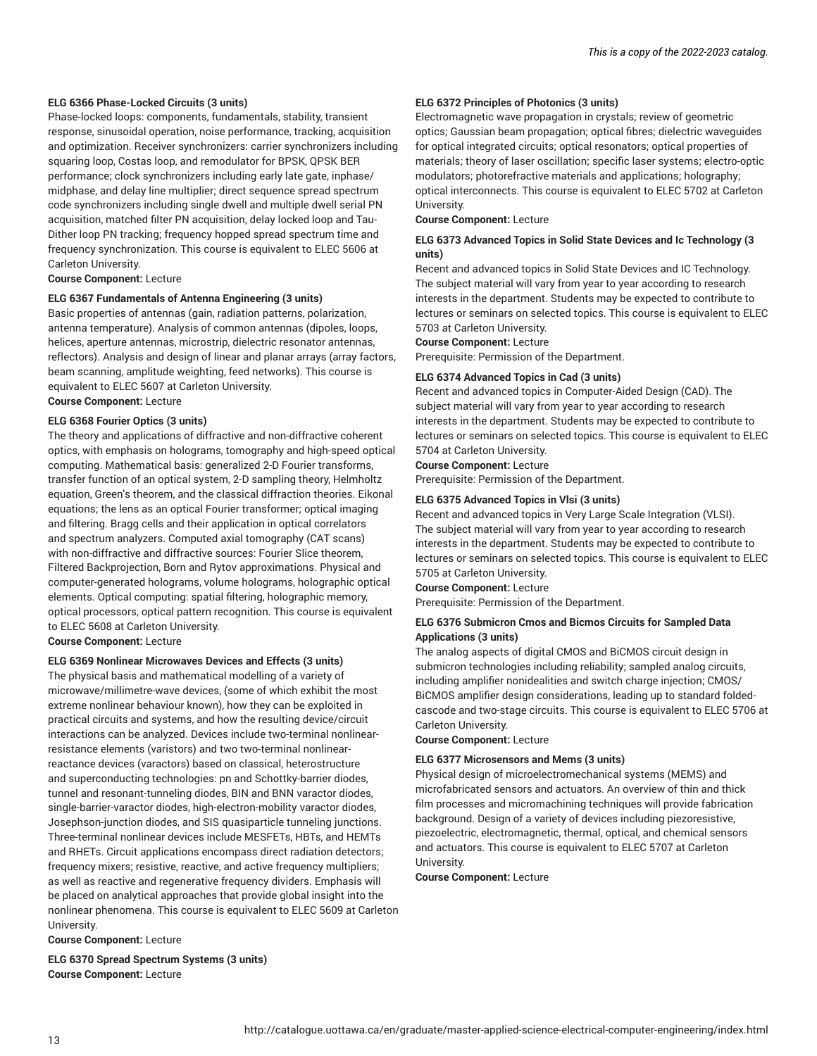#### **ELG 6366 Phase-Locked Circuits (3 units)**

Phase-locked loops: components, fundamentals, stability, transient response, sinusoidal operation, noise performance, tracking, acquisition and optimization. Receiver synchronizers: carrier synchronizers including squaring loop, Costas loop, and remodulator for BPSK, QPSK BER performance; clock synchronizers including early late gate, inphase/ midphase, and delay line multiplier; direct sequence spread spectrum code synchronizers including single dwell and multiple dwell serial PN acquisition, matched filter PN acquisition, delay locked loop and Tau-Dither loop PN tracking; frequency hopped spread spectrum time and frequency synchronization. This course is equivalent to ELEC 5606 at Carleton University.

**Course Component:** Lecture

#### **ELG 6367 Fundamentals of Antenna Engineering (3 units)**

Basic properties of antennas (gain, radiation patterns, polarization, antenna temperature). Analysis of common antennas (dipoles, loops, helices, aperture antennas, microstrip, dielectric resonator antennas, reflectors). Analysis and design of linear and planar arrays (array factors, beam scanning, amplitude weighting, feed networks). This course is equivalent to ELEC 5607 at Carleton University. **Course Component:** Lecture

**ELG 6368 Fourier Optics (3 units)** The theory and applications of diffractive and non-diffractive coherent optics, with emphasis on holograms, tomography and high-speed optical computing. Mathematical basis: generalized 2-D Fourier transforms, transfer function of an optical system, 2-D sampling theory, Helmholtz equation, Green's theorem, and the classical diffraction theories. Eikonal equations; the lens as an optical Fourier transformer; optical imaging and filtering. Bragg cells and their application in optical correlators and spectrum analyzers. Computed axial tomography (CAT scans) with non-diffractive and diffractive sources: Fourier Slice theorem, Filtered Backprojection, Born and Rytov approximations. Physical and computer-generated holograms, volume holograms, holographic optical elements. Optical computing: spatial filtering, holographic memory,

optical processors, optical pattern recognition. This course is equivalent

**Course Component:** Lecture

to ELEC 5608 at Carleton University.

#### **ELG 6369 Nonlinear Microwaves Devices and Effects (3 units)**

The physical basis and mathematical modelling of a variety of microwave/millimetre-wave devices, (some of which exhibit the most extreme nonlinear behaviour known), how they can be exploited in practical circuits and systems, and how the resulting device/circuit interactions can be analyzed. Devices include two-terminal nonlinearresistance elements (varistors) and two two-terminal nonlinearreactance devices (varactors) based on classical, heterostructure and superconducting technologies: pn and Schottky-barrier diodes, tunnel and resonant-tunneling diodes, BIN and BNN varactor diodes, single-barrier-varactor diodes, high-electron-mobility varactor diodes, Josephson-junction diodes, and SIS quasiparticle tunneling junctions. Three-terminal nonlinear devices include MESFETs, HBTs, and HEMTs and RHETs. Circuit applications encompass direct radiation detectors; frequency mixers; resistive, reactive, and active frequency multipliers; as well as reactive and regenerative frequency dividers. Emphasis will be placed on analytical approaches that provide global insight into the nonlinear phenomena. This course is equivalent to ELEC 5609 at Carleton University.

**Course Component:** Lecture

13

**ELG 6370 Spread Spectrum Systems (3 units) Course Component:** Lecture

#### **ELG 6372 Principles of Photonics (3 units)**

Electromagnetic wave propagation in crystals; review of geometric optics; Gaussian beam propagation; optical fibres; dielectric waveguides for optical integrated circuits; optical resonators; optical properties of materials; theory of laser oscillation; specific laser systems; electro-optic modulators; photorefractive materials and applications; holography; optical interconnects. This course is equivalent to ELEC 5702 at Carleton University.

**Course Component:** Lecture

#### **ELG 6373 Advanced Topics in Solid State Devices and Ic Technology (3 units)**

Recent and advanced topics in Solid State Devices and IC Technology. The subject material will vary from year to year according to research interests in the department. Students may be expected to contribute to lectures or seminars on selected topics. This course is equivalent to ELEC 5703 at Carleton University.

**Course Component:** Lecture

Prerequisite: Permission of the Department.

#### **ELG 6374 Advanced Topics in Cad (3 units)**

Recent and advanced topics in Computer-Aided Design (CAD). The subject material will vary from year to year according to research interests in the department. Students may be expected to contribute to lectures or seminars on selected topics. This course is equivalent to ELEC 5704 at Carleton University.

**Course Component:** Lecture

Prerequisite: Permission of the Department.

#### **ELG 6375 Advanced Topics in Vlsi (3 units)**

Recent and advanced topics in Very Large Scale Integration (VLSI). The subject material will vary from year to year according to research interests in the department. Students may be expected to contribute to lectures or seminars on selected topics. This course is equivalent to ELEC 5705 at Carleton University.

**Course Component:** Lecture

Prerequisite: Permission of the Department.

#### **ELG 6376 Submicron Cmos and Bicmos Circuits for Sampled Data Applications (3 units)**

The analog aspects of digital CMOS and BiCMOS circuit design in submicron technologies including reliability; sampled analog circuits, including amplifier nonidealities and switch charge injection; CMOS/ BiCMOS amplifier design considerations, leading up to standard foldedcascode and two-stage circuits. This course is equivalent to ELEC 5706 at Carleton University.

**Course Component:** Lecture

#### **ELG 6377 Microsensors and Mems (3 units)**

Physical design of microelectromechanical systems (MEMS) and microfabricated sensors and actuators. An overview of thin and thick film processes and micromachining techniques will provide fabrication background. Design of a variety of devices including piezoresistive, piezoelectric, electromagnetic, thermal, optical, and chemical sensors and actuators. This course is equivalent to ELEC 5707 at Carleton University.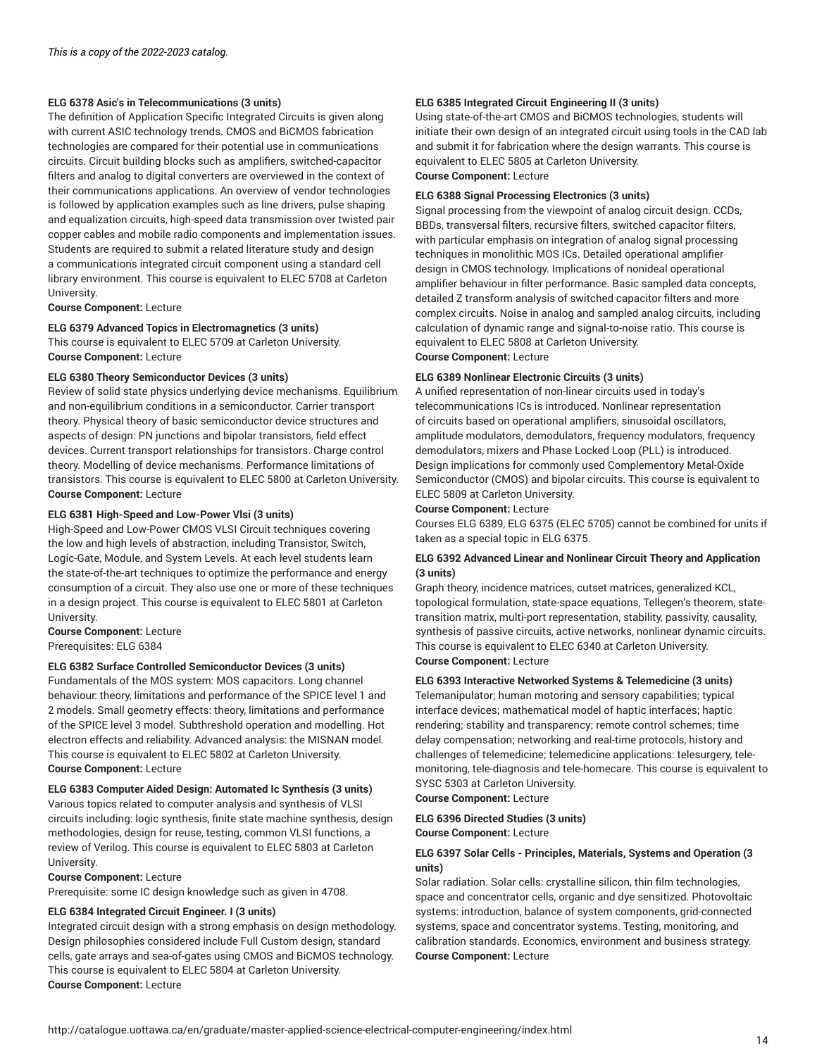#### **ELG 6378 Asic's in Telecommunications (3 units)**

The definition of Application Specific Integrated Circuits is given along with current ASIC technology trends. CMOS and BiCMOS fabrication technologies are compared for their potential use in communications circuits. Circuit building blocks such as amplifiers, switched-capacitor filters and analog to digital converters are overviewed in the context of their communications applications. An overview of vendor technologies is followed by application examples such as line drivers, pulse shaping and equalization circuits, high-speed data transmission over twisted pair copper cables and mobile radio components and implementation issues. Students are required to submit a related literature study and design a communications integrated circuit component using a standard cell library environment. This course is equivalent to ELEC 5708 at Carleton University.

**Course Component:** Lecture

### **ELG 6379 Advanced Topics in Electromagnetics (3 units)**

This course is equivalent to ELEC 5709 at Carleton University. **Course Component:** Lecture

#### **ELG 6380 Theory Semiconductor Devices (3 units)**

Review of solid state physics underlying device mechanisms. Equilibrium and non-equilibrium conditions in a semiconductor. Carrier transport theory. Physical theory of basic semiconductor device structures and aspects of design: PN junctions and bipolar transistors, field effect devices. Current transport relationships for transistors. Charge control theory. Modelling of device mechanisms. Performance limitations of transistors. This course is equivalent to ELEC 5800 at Carleton University. **Course Component:** Lecture

#### **ELG 6381 High-Speed and Low-Power Vlsi (3 units)**

High-Speed and Low-Power CMOS VLSI Circuit techniques covering the low and high levels of abstraction, including Transistor, Switch, Logic-Gate, Module, and System Levels. At each level students learn the state-of-the-art techniques to optimize the performance and energy consumption of a circuit. They also use one or more of these techniques in a design project. This course is equivalent to ELEC 5801 at Carleton University.

**Course Component:** Lecture Prerequisites: ELG 6384

#### **ELG 6382 Surface Controlled Semiconductor Devices (3 units)**

Fundamentals of the MOS system: MOS capacitors. Long channel behaviour: theory, limitations and performance of the SPICE level 1 and 2 models. Small geometry effects: theory, limitations and performance of the SPICE level 3 model. Subthreshold operation and modelling. Hot electron effects and reliability. Advanced analysis: the MISNAN model. This course is equivalent to ELEC 5802 at Carleton University. **Course Component:** Lecture

#### **ELG 6383 Computer Aided Design: Automated Ic Synthesis (3 units)**

Various topics related to computer analysis and synthesis of VLSI circuits including: logic synthesis, finite state machine synthesis, design methodologies, design for reuse, testing, common VLSI functions, a review of Verilog. This course is equivalent to ELEC 5803 at Carleton University.

#### **Course Component:** Lecture

Prerequisite: some IC design knowledge such as given in 4708.

#### **ELG 6384 Integrated Circuit Engineer. I (3 units)**

Integrated circuit design with a strong emphasis on design methodology. Design philosophies considered include Full Custom design, standard cells, gate arrays and sea-of-gates using CMOS and BiCMOS technology. This course is equivalent to ELEC 5804 at Carleton University. **Course Component:** Lecture

#### **ELG 6385 Integrated Circuit Engineering II (3 units)**

Using state-of-the-art CMOS and BiCMOS technologies, students will initiate their own design of an integrated circuit using tools in the CAD lab and submit it for fabrication where the design warrants. This course is equivalent to ELEC 5805 at Carleton University. **Course Component:** Lecture

### **ELG 6388 Signal Processing Electronics (3 units)**

Signal processing from the viewpoint of analog circuit design. CCDs, BBDs, transversal filters, recursive filters, switched capacitor filters, with particular emphasis on integration of analog signal processing techniques in monolithic MOS ICs. Detailed operational amplifier design in CMOS technology. Implications of nonideal operational amplifier behaviour in filter performance. Basic sampled data concepts, detailed Z transform analysis of switched capacitor filters and more complex circuits. Noise in analog and sampled analog circuits, including calculation of dynamic range and signal-to-noise ratio. This course is equivalent to ELEC 5808 at Carleton University.

**Course Component:** Lecture

#### **ELG 6389 Nonlinear Electronic Circuits (3 units)**

A unified representation of non-linear circuits used in today's telecommunications ICs is introduced. Nonlinear representation of circuits based on operational amplifiers, sinusoidal oscillators, amplitude modulators, demodulators, frequency modulators, frequency demodulators, mixers and Phase Locked Loop (PLL) is introduced. Design implications for commonly used Complementory Metal-Oxide Semiconductor (CMOS) and bipolar circuits. This course is equivalent to ELEC 5809 at Carleton University.

#### **Course Component:** Lecture

Courses ELG 6389, ELG 6375 (ELEC 5705) cannot be combined for units if taken as a special topic in ELG 6375.

#### **ELG 6392 Advanced Linear and Nonlinear Circuit Theory and Application (3 units)**

Graph theory, incidence matrices, cutset matrices, generalized KCL, topological formulation, state-space equations, Tellegen's theorem, statetransition matrix, multi-port representation, stability, passivity, causality, synthesis of passive circuits, active networks, nonlinear dynamic circuits. This course is equivalent to ELEC 6340 at Carleton University. **Course Component:** Lecture

#### **ELG 6393 Interactive Networked Systems & Telemedicine (3 units)**

Telemanipulator; human motoring and sensory capabilities; typical interface devices; mathematical model of haptic interfaces; haptic rendering; stability and transparency; remote control schemes; time delay compensation; networking and real-time protocols, history and challenges of telemedicine; telemedicine applications: telesurgery, telemonitoring, tele-diagnosis and tele-homecare. This course is equivalent to SYSC 5303 at Carleton University.

**Course Component:** Lecture

#### **ELG 6396 Directed Studies (3 units) Course Component:** Lecture

#### **ELG 6397 Solar Cells - Principles, Materials, Systems and Operation (3 units)**

Solar radiation. Solar cells: crystalline silicon, thin film technologies, space and concentrator cells, organic and dye sensitized. Photovoltaic systems: introduction, balance of system components, grid-connected systems, space and concentrator systems. Testing, monitoring, and calibration standards. Economics, environment and business strategy. **Course Component:** Lecture